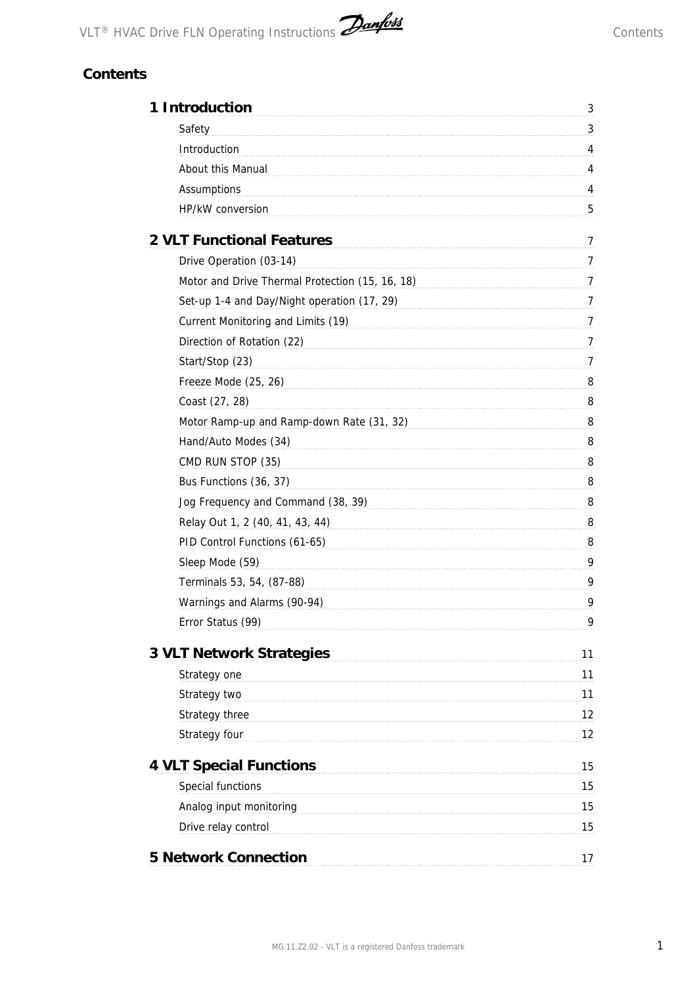VLT® HVAC Drive FLN Operating Instructions **Aanfoss** Contents

### **Contents**

| <b>Introduction</b>                             | 3                        |
|-------------------------------------------------|--------------------------|
| Safety                                          | 3                        |
| Introduction                                    | $\overline{\mathcal{A}}$ |
| About this Manual                               | 4                        |
| Assumptions                                     | 4                        |
| HP/kW conversion                                | 5                        |
| <b>2 VLT Functional Features</b>                | $\overline{1}$           |
| Drive Operation (03-14)                         | $\overline{J}$           |
| Motor and Drive Thermal Protection (15, 16, 18) | 7                        |
| Set-up 1-4 and Day/Night operation (17, 29)     | 7                        |
| Current Monitoring and Limits (19)              | 7                        |
| Direction of Rotation (22)                      | 7                        |
| Start/Stop (23)                                 | $\overline{I}$           |
| Freeze Mode (25, 26)                            | 8                        |
| Coast (27, 28)                                  | 8                        |
| Motor Ramp-up and Ramp-down Rate (31, 32)       | $\overline{8}$           |
| Hand/Auto Modes (34)                            | 8                        |
| CMD RUN STOP (35)                               | 8                        |
| Bus Functions (36, 37)                          | 8                        |
| Jog Frequency and Command (38, 39)              | 8                        |
| Relay Out 1, 2 (40, 41, 43, 44)                 | 8                        |
| PID Control Functions (61-65)                   | 8                        |
| Sleep Mode (59)                                 | 9                        |
| Terminals 53, 54, (87-88)                       | 9                        |
| Warnings and Alarms (90-94)                     | 9                        |
| Error Status (99)                               | 9                        |
| <b>3 VLT Network Strategies</b>                 | 11                       |
| Strategy one                                    | 11                       |
| Strategy two                                    | 11                       |
| Strategy three                                  | 12                       |
| Strategy four                                   | 12                       |
| <b>4 VLT Special Functions</b>                  | 15                       |
| Special functions                               | 15                       |
| Analog input monitoring                         | 15                       |
| Drive relay control                             | 15                       |
| <b>5 Network Connection</b>                     | 17                       |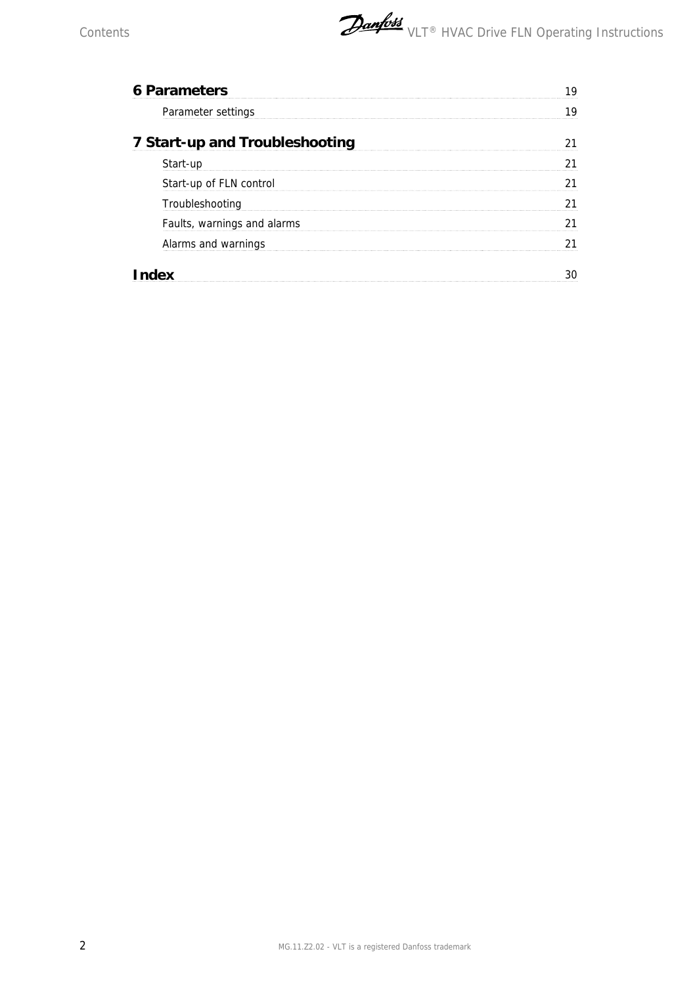| <b>6 Parameters</b>            |  |
|--------------------------------|--|
| Parameter settings             |  |
| 7 Start-up and Troubleshooting |  |
| Start-up                       |  |
| Start-up of FLN control        |  |
| Troubleshooting                |  |
| Faults, warnings and alarms    |  |
| Alarms and warnings            |  |
|                                |  |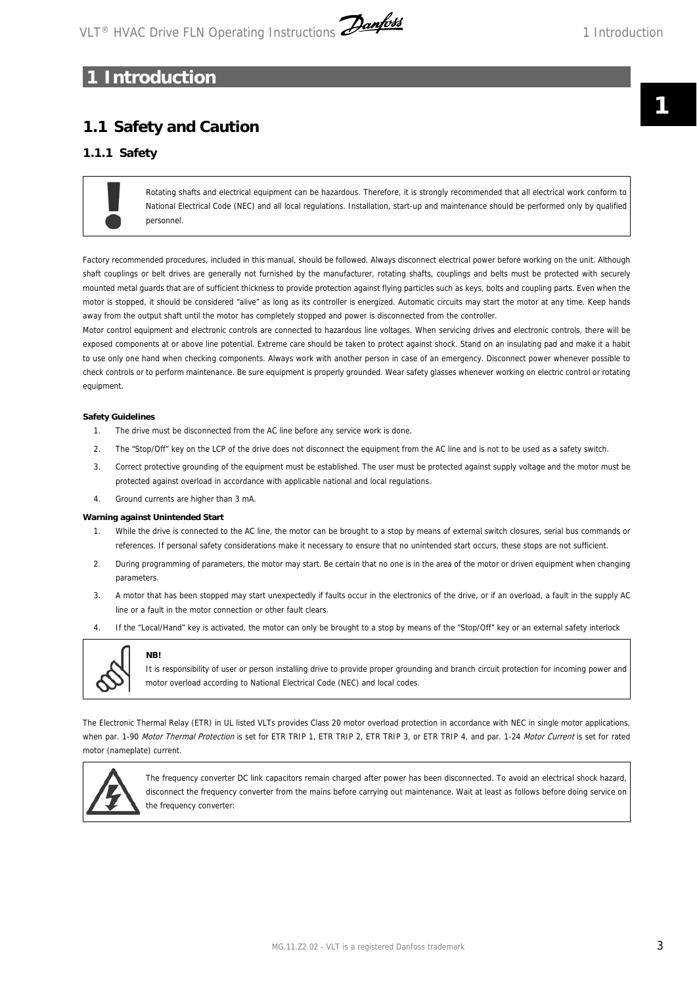### **1 Introduction**

### **1.1 Safety and Caution**

#### **1.1.1 Safety**

Rotating shafts and electrical equipment can be hazardous. Therefore, it is strongly recommended that all electrical work conform to National Electrical Code (NEC) and all local regulations. Installation, start-up and maintenance should be performed only by qualified personnel.

Factory recommended procedures, included in this manual, should be followed. Always disconnect electrical power before working on the unit. Although shaft couplings or belt drives are generally not furnished by the manufacturer, rotating shafts, couplings and belts must be protected with securely mounted metal guards that are of sufficient thickness to provide protection against flying particles such as keys, bolts and coupling parts. Even when the motor is stopped, it should be considered "alive" as long as its controller is energized. Automatic circuits may start the motor at any time. Keep hands away from the output shaft until the motor has completely stopped and power is disconnected from the controller.

Motor control equipment and electronic controls are connected to hazardous line voltages. When servicing drives and electronic controls, there will be exposed components at or above line potential. Extreme care should be taken to protect against shock. Stand on an insulating pad and make it a habit to use only one hand when checking components. Always work with another person in case of an emergency. Disconnect power whenever possible to check controls or to perform maintenance. Be sure equipment is properly grounded. Wear safety glasses whenever working on electric control or rotating equipment.

#### **Safety Guidelines**

- 1. The drive must be disconnected from the AC line before any service work is done.
- 2. The "Stop/Off" key on the LCP of the drive does not disconnect the equipment from the AC line and is not to be used as a safety switch.
- 3. Correct protective grounding of the equipment must be established. The user must be protected against supply voltage and the motor must be protected against overload in accordance with applicable national and local regulations.
- 4. Ground currents are higher than 3 mA.

#### **Warning against Unintended Start**

**NB!**

- 1. While the drive is connected to the AC line, the motor can be brought to a stop by means of external switch closures, serial bus commands or references. If personal safety considerations make it necessary to ensure that no unintended start occurs, these stops are not sufficient.
- 2. During programming of parameters, the motor may start. Be certain that no one is in the area of the motor or driven equipment when changing parameters.
- 3. A motor that has been stopped may start unexpectedly if faults occur in the electronics of the drive, or if an overload, a fault in the supply AC line or a fault in the motor connection or other fault clears.
- 4. If the "Local/Hand" key is activated, the motor can only be brought to a stop by means of the "Stop/Off" key or an external safety interlock



It is responsibility of user or person installing drive to provide proper grounding and branch circuit protection for incoming power and motor overload according to National Electrical Code (NEC) and local codes.

The Electronic Thermal Relay (ETR) in UL listed VLTs provides Class 20 motor overload protection in accordance with NEC in single motor applications, when par. 1-90 Motor Thermal Protection is set for ETR TRIP 1, ETR TRIP 2, ETR TRIP 3, or ETR TRIP 4, and par. 1-24 Motor Current is set for rated motor (nameplate) current.



The frequency converter DC link capacitors remain charged after power has been disconnected. To avoid an electrical shock hazard, disconnect the frequency converter from the mains before carrying out maintenance. Wait at least as follows before doing service on the frequency converter: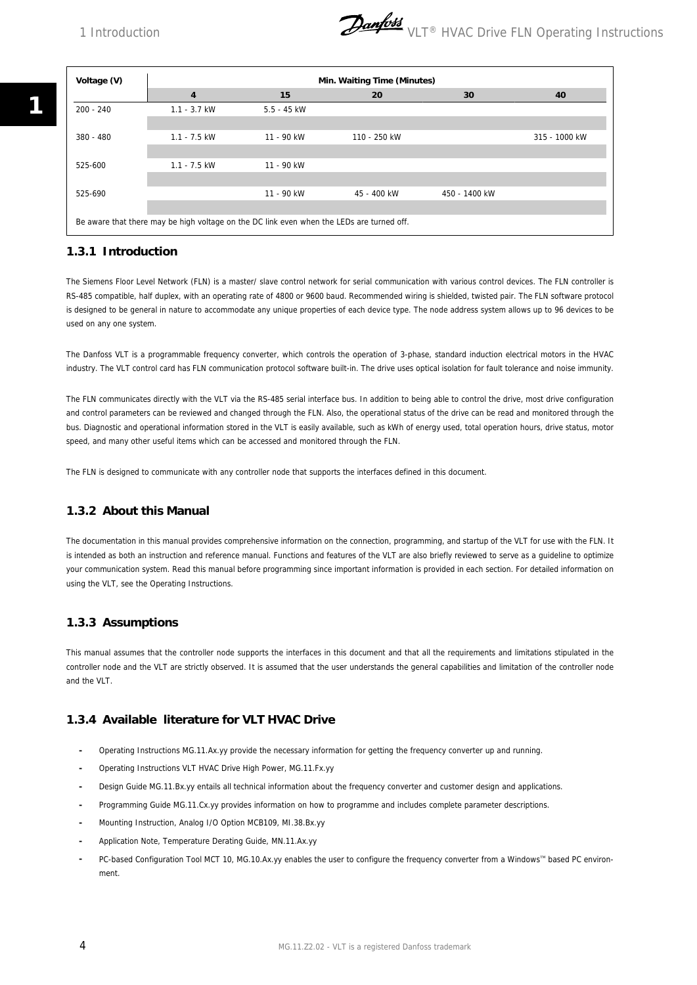| Voltage (V)                                                                               | Min. Waiting Time (Minutes) |               |              |               |               |
|-------------------------------------------------------------------------------------------|-----------------------------|---------------|--------------|---------------|---------------|
|                                                                                           | 4                           | 15            | 20           | 30            | 40            |
| $200 - 240$                                                                               | $1.1 - 3.7$ kW              | $5.5 - 45$ kW |              |               |               |
|                                                                                           |                             |               |              |               |               |
| 380 - 480                                                                                 | $1.1 - 7.5$ kW              | 11 - 90 kW    | 110 - 250 kW |               | 315 - 1000 kW |
|                                                                                           |                             |               |              |               |               |
| 525-600                                                                                   | $1.1 - 7.5$ kW              | 11 - 90 kW    |              |               |               |
|                                                                                           |                             |               |              |               |               |
| 525-690                                                                                   |                             | 11 - 90 kW    | 45 - 400 kW  | 450 - 1400 kW |               |
|                                                                                           |                             |               |              |               |               |
| Be aware that there may be high voltage on the DC link even when the LEDs are turned off. |                             |               |              |               |               |

#### **1.3.1 Introduction**

The Siemens Floor Level Network (FLN) is a master/ slave control network for serial communication with various control devices. The FLN controller is RS-485 compatible, half duplex, with an operating rate of 4800 or 9600 baud. Recommended wiring is shielded, twisted pair. The FLN software protocol is designed to be general in nature to accommodate any unique properties of each device type. The node address system allows up to 96 devices to be used on any one system.

The Danfoss VLT is a programmable frequency converter, which controls the operation of 3-phase, standard induction electrical motors in the HVAC industry. The VLT control card has FLN communication protocol software built-in. The drive uses optical isolation for fault tolerance and noise immunity.

The FLN communicates directly with the VLT via the RS-485 serial interface bus. In addition to being able to control the drive, most drive configuration and control parameters can be reviewed and changed through the FLN. Also, the operational status of the drive can be read and monitored through the bus. Diagnostic and operational information stored in the VLT is easily available, such as kWh of energy used, total operation hours, drive status, motor speed, and many other useful items which can be accessed and monitored through the FLN.

The FLN is designed to communicate with any controller node that supports the interfaces defined in this document.

#### **1.3.2 About this Manual**

The documentation in this manual provides comprehensive information on the connection, programming, and startup of the VLT for use with the FLN. It is intended as both an instruction and reference manual. Functions and features of the VLT are also briefly reviewed to serve as a guideline to optimize your communication system. Read this manual before programming since important information is provided in each section. For detailed information on using the VLT, see the Operating Instructions.

#### **1.3.3 Assumptions**

This manual assumes that the controller node supports the interfaces in this document and that all the requirements and limitations stipulated in the controller node and the VLT are strictly observed. It is assumed that the user understands the general capabilities and limitation of the controller node and the VLT.

#### **1.3.4 Available literature for VLT HVAC Drive**

- **-** Operating Instructions MG.11.Ax.yy provide the necessary information for getting the frequency converter up and running.
- **-** Operating Instructions VLT HVAC Drive High Power, MG.11.Fx.yy
- **-** Design Guide MG.11.Bx.yy entails all technical information about the frequency converter and customer design and applications.
- **-** Programming Guide MG.11.Cx.yy provides information on how to programme and includes complete parameter descriptions.
- **-** Mounting Instruction, Analog I/O Option MCB109, MI.38.Bx.yy
- **-** Application Note, Temperature Derating Guide, MN.11.Ax.yy
- **-** PC-based Configuration Tool MCT 10, MG.10.Ax.yy enables the user to configure the frequency converter from a Windows™ based PC environment.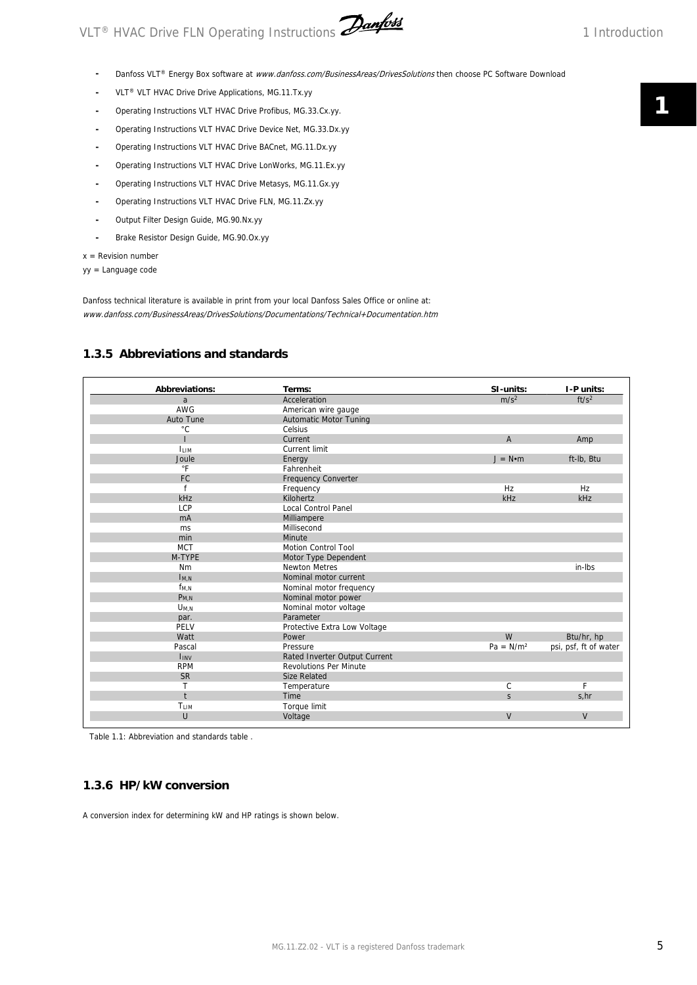- **-** Danfoss VLT® Energy Box software at www.danfoss.com/BusinessAreas/DrivesSolutions then choose PC Software Download
- **-** VLT® VLT HVAC Drive Drive Applications, MG.11.Tx.yy
- **-** Operating Instructions VLT HVAC Drive Profibus, MG.33.Cx.yy.
- **-** Operating Instructions VLT HVAC Drive Device Net, MG.33.Dx.yy
- **-** Operating Instructions VLT HVAC Drive BACnet, MG.11.Dx.yy
- **-** Operating Instructions VLT HVAC Drive LonWorks, MG.11.Ex.yy
- **-** Operating Instructions VLT HVAC Drive Metasys, MG.11.Gx.yy
- **-** Operating Instructions VLT HVAC Drive FLN, MG.11.Zx.yy
- **-** Output Filter Design Guide, MG.90.Nx.yy
- **-** Brake Resistor Design Guide, MG.90.Ox.yy

#### $x =$  Revision number

yy = Language code

Danfoss technical literature is available in print from your local Danfoss Sales Office or online at: www.danfoss.com/BusinessAreas/DrivesSolutions/Documentations/Technical+Documentation.htm

### **1.3.5 Abbreviations and standards**

| <b>Abbreviations:</b> | Terms:                        | SI-units:        | I-P units:            |
|-----------------------|-------------------------------|------------------|-----------------------|
| a                     | Acceleration                  | m/s <sup>2</sup> | ft/s <sup>2</sup>     |
| AWG                   | American wire gauge           |                  |                       |
| <b>Auto Tune</b>      | <b>Automatic Motor Tuning</b> |                  |                       |
| $^{\circ}C$           | Celsius                       |                  |                       |
|                       | Current                       | $\overline{A}$   | Amp                   |
| <b>ILIM</b>           | Current limit                 |                  |                       |
| Joule                 | Energy                        | $J = N \cdot m$  | ft-Ib, Btu            |
| $\circ$ F             | Fahrenheit                    |                  |                       |
| FC                    | <b>Frequency Converter</b>    |                  |                       |
| f                     | Frequency                     | Hz               | Hz                    |
| kHz                   | Kilohertz                     | kHz              | kHz                   |
| LCP                   | <b>Local Control Panel</b>    |                  |                       |
| mA                    | Milliampere                   |                  |                       |
| ms                    | Millisecond                   |                  |                       |
| min                   | Minute                        |                  |                       |
| <b>MCT</b>            | <b>Motion Control Tool</b>    |                  |                       |
| M-TYPE                | Motor Type Dependent          |                  |                       |
| Nm                    | <b>Newton Metres</b>          |                  | in-Ibs                |
| $I_{M,N}$             | Nominal motor current         |                  |                       |
| f <sub>M.N</sub>      | Nominal motor frequency       |                  |                       |
| $P_{M.N}$             | Nominal motor power           |                  |                       |
| $U_{M.N}$             | Nominal motor voltage         |                  |                       |
| par.                  | Parameter                     |                  |                       |
| PELV                  | Protective Extra Low Voltage  |                  |                       |
| Watt                  | Power                         | W                | Btu/hr, hp            |
| Pascal                | Pressure                      | $Pa = N/m2$      | psi, psf, ft of water |
| <b>I</b> INV          | Rated Inverter Output Current |                  |                       |
| <b>RPM</b>            | <b>Revolutions Per Minute</b> |                  |                       |
| <b>SR</b>             | <b>Size Related</b>           |                  |                       |
| T                     | Temperature                   | C                | F                     |
| $\mathsf{t}$          | Time                          | $\mathbf{S}$     | s,hr                  |
| TLIM                  | Torque limit                  |                  |                       |
| U                     | Voltage                       | $\mathsf{V}$     | $\mathsf{V}$          |
|                       |                               |                  |                       |

Table 1.1: Abbreviation and standards table .

#### **1.3.6 HP/kW conversion**

A conversion index for determining kW and HP ratings is shown below.

MG.11.Z2.02 - VLT is a registered Danfoss trademark  $5$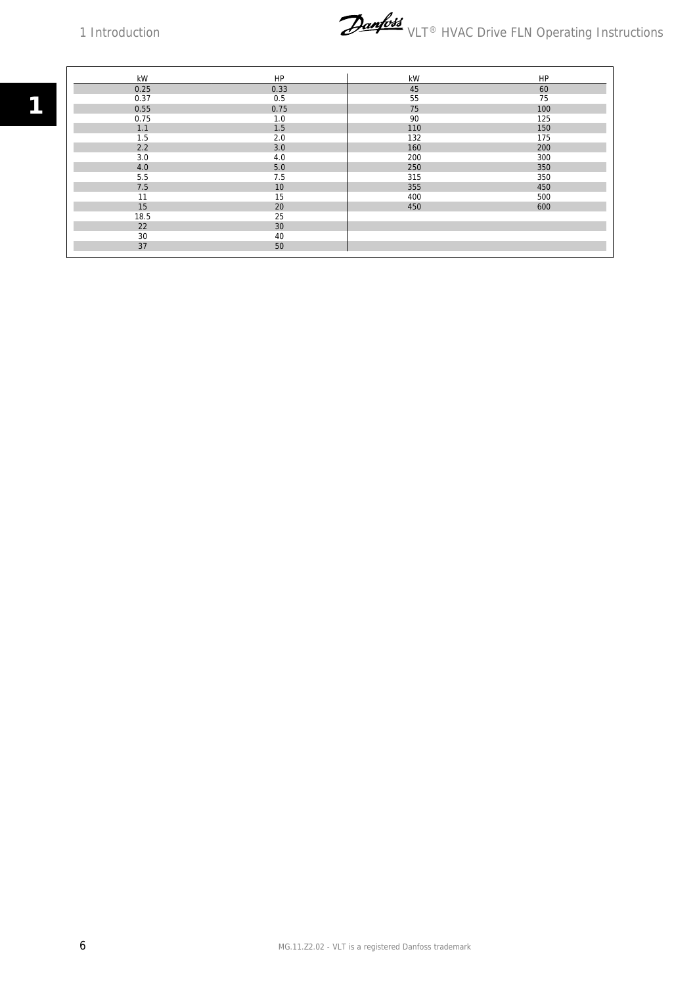

| I<br>I |  |
|--------|--|
| I      |  |
|        |  |
|        |  |
|        |  |
|        |  |

| kW   | HP   | kW  | HP  |
|------|------|-----|-----|
| 0.25 | 0.33 | 45  | 60  |
| 0.37 | 0.5  | 55  | 75  |
| 0.55 | 0.75 | 75  | 100 |
| 0.75 | 1.0  | 90  | 125 |
| 1.1  | 1.5  | 110 | 150 |
| 1.5  | 2.0  | 132 | 175 |
| 2.2  | 3.0  | 160 | 200 |
| 3.0  | 4.0  | 200 | 300 |
| 4.0  | 5.0  | 250 | 350 |
| 5.5  | 7.5  | 315 | 350 |
| 7.5  | 10   | 355 | 450 |
| 11   | 15   | 400 | 500 |
| 15   | 20   | 450 | 600 |
| 18.5 | 25   |     |     |
| 22   | 30   |     |     |
| 30   | 40   |     |     |
| 37   | 50   |     |     |
|      |      |     |     |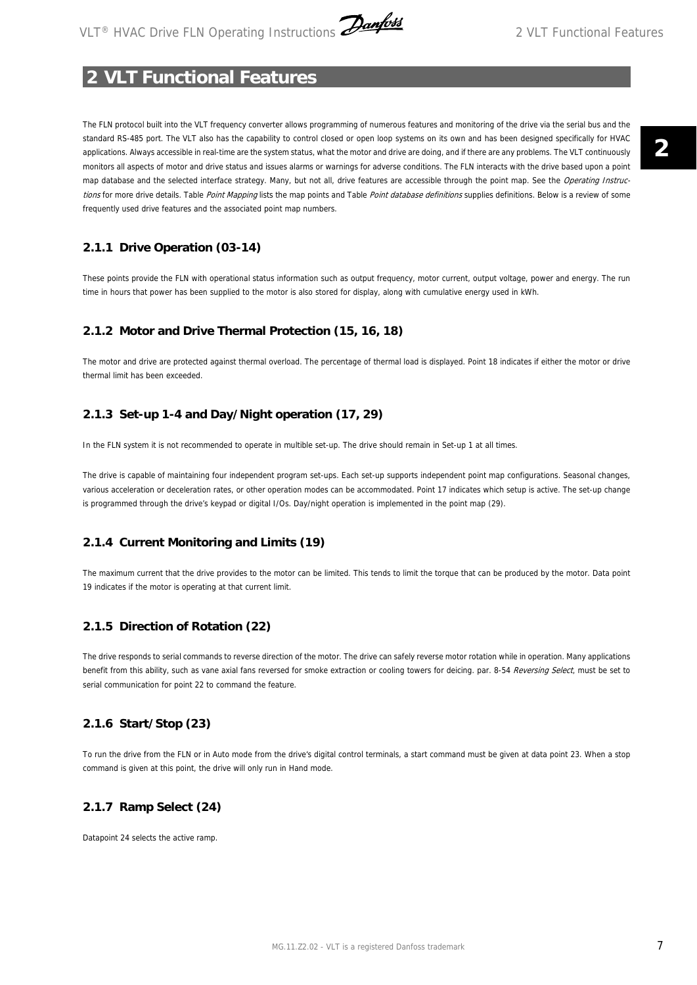### **2 VLT Functional Features**

The FLN protocol built into the VLT frequency converter allows programming of numerous features and monitoring of the drive via the serial bus and the standard RS-485 port. The VLT also has the capability to control closed or open loop systems on its own and has been designed specifically for HVAC applications. Always accessible in real-time are the system status, what the motor and drive are doing, and if there are any problems. The VLT continuously monitors all aspects of motor and drive status and issues alarms or warnings for adverse conditions. The FLN interacts with the drive based upon a point map database and the selected interface strategy. Many, but not all, drive features are accessible through the point map. See the Operating Instructions for more drive details. Table Point Mapping lists the map points and Table Point database definitions supplies definitions. Below is a review of some frequently used drive features and the associated point map numbers.

#### **2.1.1 Drive Operation (03-14)**

These points provide the FLN with operational status information such as output frequency, motor current, output voltage, power and energy. The run time in hours that power has been supplied to the motor is also stored for display, along with cumulative energy used in kWh.

#### **2.1.2 Motor and Drive Thermal Protection (15, 16, 18)**

The motor and drive are protected against thermal overload. The percentage of thermal load is displayed. Point 18 indicates if either the motor or drive thermal limit has been exceeded.

#### **2.1.3 Set-up 1-4 and Day/Night operation (17, 29)**

In the FLN system it is not recommended to operate in multible set-up. The drive should remain in Set-up 1 at all times.

The drive is capable of maintaining four independent program set-ups. Each set-up supports independent point map configurations. Seasonal changes, various acceleration or deceleration rates, or other operation modes can be accommodated. Point 17 indicates which setup is active. The set-up change is programmed through the drive's keypad or digital I/Os. Day/night operation is implemented in the point map (29).

#### **2.1.4 Current Monitoring and Limits (19)**

The maximum current that the drive provides to the motor can be limited. This tends to limit the torque that can be produced by the motor. Data point 19 indicates if the motor is operating at that current limit.

#### **2.1.5 Direction of Rotation (22)**

The drive responds to serial commands to reverse direction of the motor. The drive can safely reverse motor rotation while in operation. Many applications benefit from this ability, such as vane axial fans reversed for smoke extraction or cooling towers for deicing. par. 8-54 Reversing Select, must be set to serial communication for point 22 to command the feature.

#### **2.1.6 Start/Stop (23)**

To run the drive from the FLN or in Auto mode from the drive's digital control terminals, a start command must be given at data point 23. When a stop command is given at this point, the drive will only run in Hand mode.

#### **2.1.7 Ramp Select (24)**

Datapoint 24 selects the active ramp.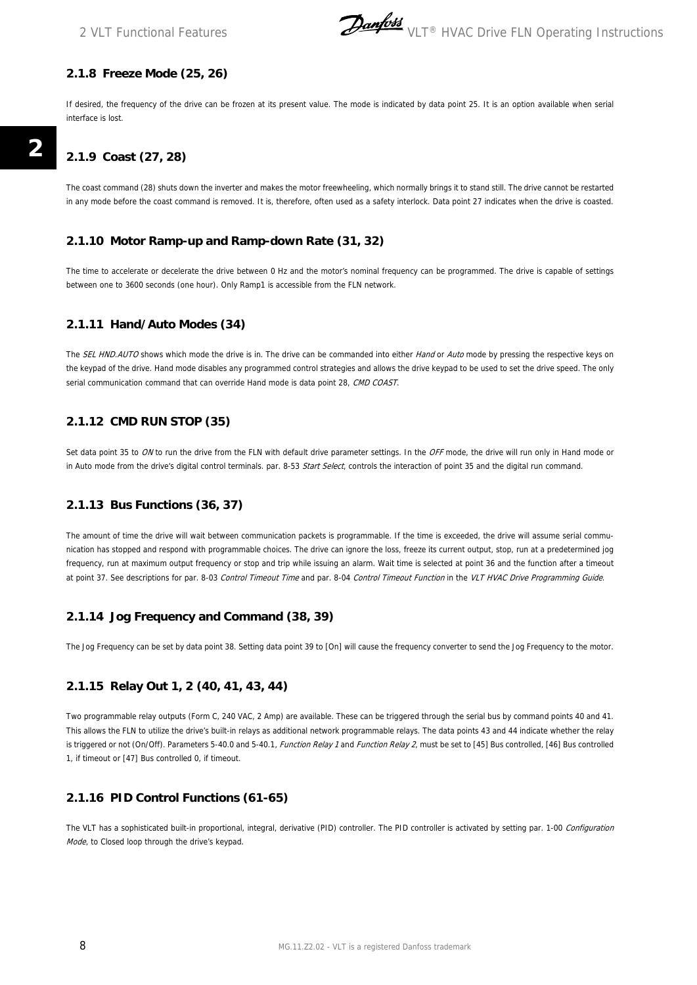#### **2.1.8 Freeze Mode (25, 26)**

If desired, the frequency of the drive can be frozen at its present value. The mode is indicated by data point 25. It is an option available when serial interface is lost.

### **2.1.9 Coast (27, 28)**

**2** 

The coast command (28) shuts down the inverter and makes the motor freewheeling, which normally brings it to stand still. The drive cannot be restarted in any mode before the coast command is removed. It is, therefore, often used as a safety interlock. Data point 27 indicates when the drive is coasted.

#### **2.1.10 Motor Ramp-up and Ramp-down Rate (31, 32)**

The time to accelerate or decelerate the drive between 0 Hz and the motor's nominal frequency can be programmed. The drive is capable of settings between one to 3600 seconds (one hour). Only Ramp1 is accessible from the FLN network.

#### **2.1.11 Hand/Auto Modes (34)**

The SEL HND.AUTO shows which mode the drive is in. The drive can be commanded into either Hand or Auto mode by pressing the respective keys on the keypad of the drive. Hand mode disables any programmed control strategies and allows the drive keypad to be used to set the drive speed. The only serial communication command that can override Hand mode is data point 28, CMD COAST.

#### **2.1.12 CMD RUN STOP (35)**

Set data point 35 to ON to run the drive from the FLN with default drive parameter settings. In the OFF mode, the drive will run only in Hand mode or in Auto mode from the drive's digital control terminals. par. 8-53 Start Select, controls the interaction of point 35 and the digital run command.

#### **2.1.13 Bus Functions (36, 37)**

The amount of time the drive will wait between communication packets is programmable. If the time is exceeded, the drive will assume serial communication has stopped and respond with programmable choices. The drive can ignore the loss, freeze its current output, stop, run at a predetermined jog frequency, run at maximum output frequency or stop and trip while issuing an alarm. Wait time is selected at point 36 and the function after a timeout at point 37. See descriptions for par. 8-03 Control Timeout Time and par. 8-04 Control Timeout Function in the VLT HVAC Drive Programming Guide.

#### **2.1.14 Jog Frequency and Command (38, 39)**

The Jog Frequency can be set by data point 38. Setting data point 39 to [On] will cause the frequency converter to send the Jog Frequency to the motor.

#### **2.1.15 Relay Out 1, 2 (40, 41, 43, 44)**

Two programmable relay outputs (Form C, 240 VAC, 2 Amp) are available. These can be triggered through the serial bus by command points 40 and 41. This allows the FLN to utilize the drive's built-in relays as additional network programmable relays. The data points 43 and 44 indicate whether the relay is triggered or not (On/Off). Parameters 5-40.0 and 5-40.1, Function Relay 1 and Function Relay 2, must be set to [45] Bus controlled, [46] Bus controlled 1, if timeout or [47] Bus controlled 0, if timeout.

#### **2.1.16 PID Control Functions (61-65)**

The VLT has a sophisticated built-in proportional, integral, derivative (PID) controller. The PID controller is activated by setting par. 1-00 Configuration Mode, to Closed loop through the drive's keypad.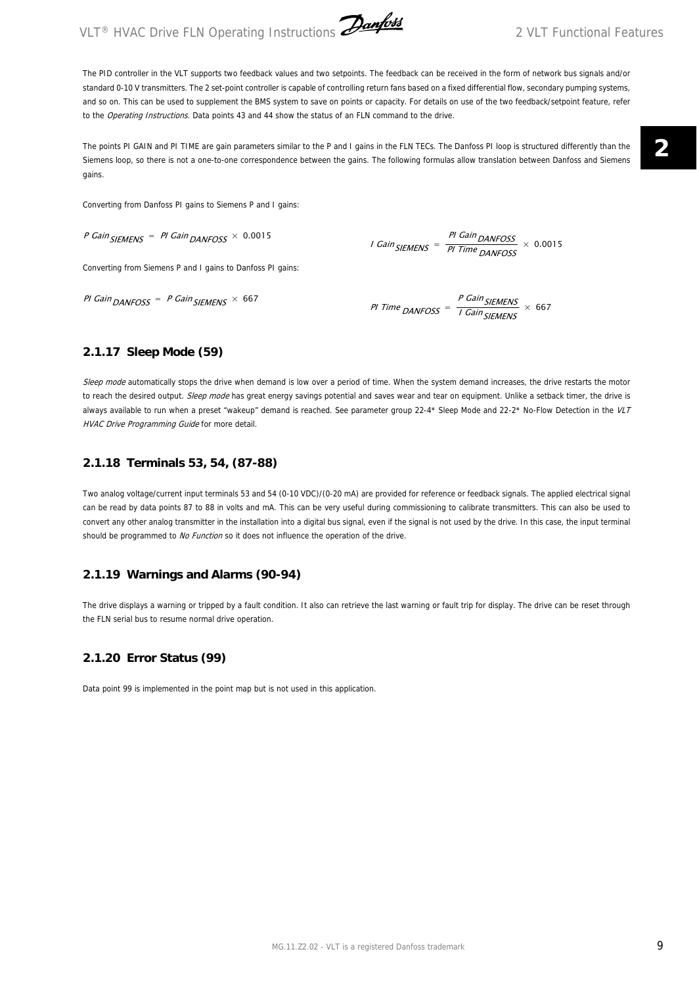The PID controller in the VLT supports two feedback values and two setpoints. The feedback can be received in the form of network bus signals and/or standard 0-10 V transmitters. The 2 set-point controller is capable of controlling return fans based on a fixed differential flow, secondary pumping systems, and so on. This can be used to supplement the BMS system to save on points or capacity. For details on use of the two feedback/setpoint feature, refer to the *Operating Instructions*. Data points 43 and 44 show the status of an FLN command to the drive.

The points PI GAIN and PI TIME are gain parameters similar to the P and I gains in the FLN TECs. The Danfoss PI loop is structured differently than the Siemens loop, so there is not a one-to-one correspondence between the gains. The following formulas allow translation between Danfoss and Siemens gains.

Converting from Danfoss PI gains to Siemens P and I gains:

P Gain  $S_1$  EMENS = PI Gain DANFOSS  $\times$  0.0015

I Gain <sub>SIEMENS</sub> = <sup>PI Gain</sup> DANFOSS<br>PI Time - ULFOSS  $\frac{P}{P}$ Time <sub>DANFOSS</sub>  $\times$  0.0015

Converting from Siemens P and I gains to Danfoss PI gains:

PI Gain  $_{DANFOSS}$  = P Gain  $_{SIEMENS}$   $\times$  667

PI Time <sub>DANFOSS</sub> =  $\frac{P \text{ Gain}}{I \text{ Gain}}$ I Gain SIEMENS<sup>X</sup> 667

#### **2.1.17 Sleep Mode (59)**

Sleep mode automatically stops the drive when demand is low over a period of time. When the system demand increases, the drive restarts the motor to reach the desired output. Sleep mode has great energy savings potential and saves wear and tear on equipment. Unlike a setback timer, the drive is always available to run when a preset "wakeup" demand is reached. See parameter group 22-4\* Sleep Mode and 22-2\* No-Flow Detection in the VLT HVAC Drive Programming Guide for more detail.

#### **2.1.18 Terminals 53, 54, (87-88)**

Two analog voltage/current input terminals 53 and 54 (0-10 VDC)/(0-20 mA) are provided for reference or feedback signals. The applied electrical signal can be read by data points 87 to 88 in volts and mA. This can be very useful during commissioning to calibrate transmitters. This can also be used to convert any other analog transmitter in the installation into a digital bus signal, even if the signal is not used by the drive. In this case, the input terminal should be programmed to *No Function* so it does not influence the operation of the drive.

#### **2.1.19 Warnings and Alarms (90-94)**

The drive displays a warning or tripped by a fault condition. It also can retrieve the last warning or fault trip for display. The drive can be reset through the FLN serial bus to resume normal drive operation.

#### **2.1.20 Error Status (99)**

Data point 99 is implemented in the point map but is not used in this application.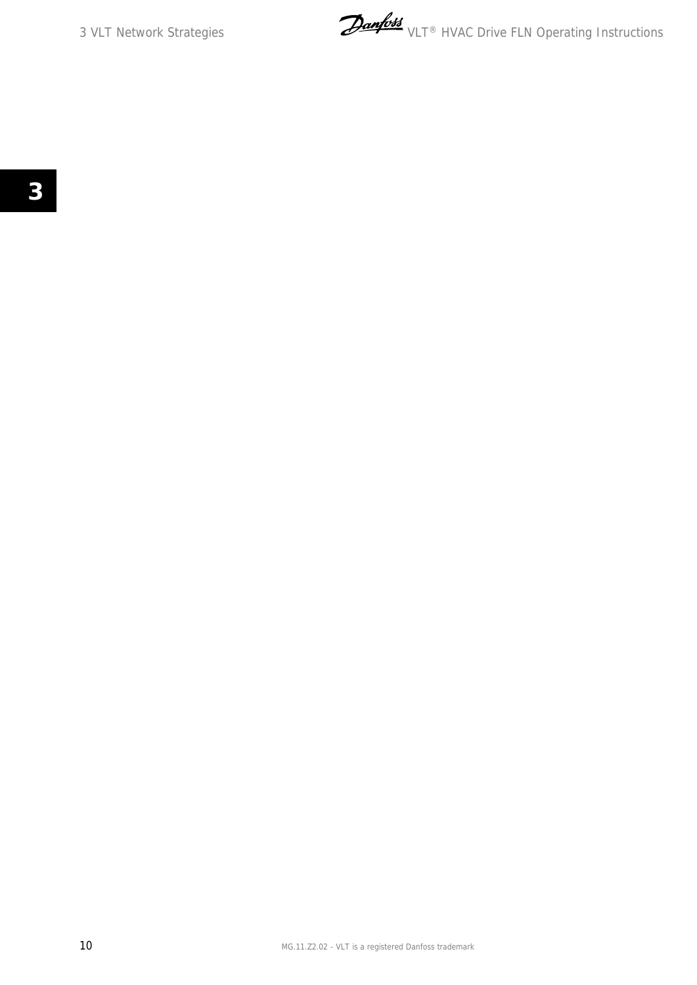3 VLT Network Strategies **Aanfoss** VLT® HVAC Drive FLN Operating Instructions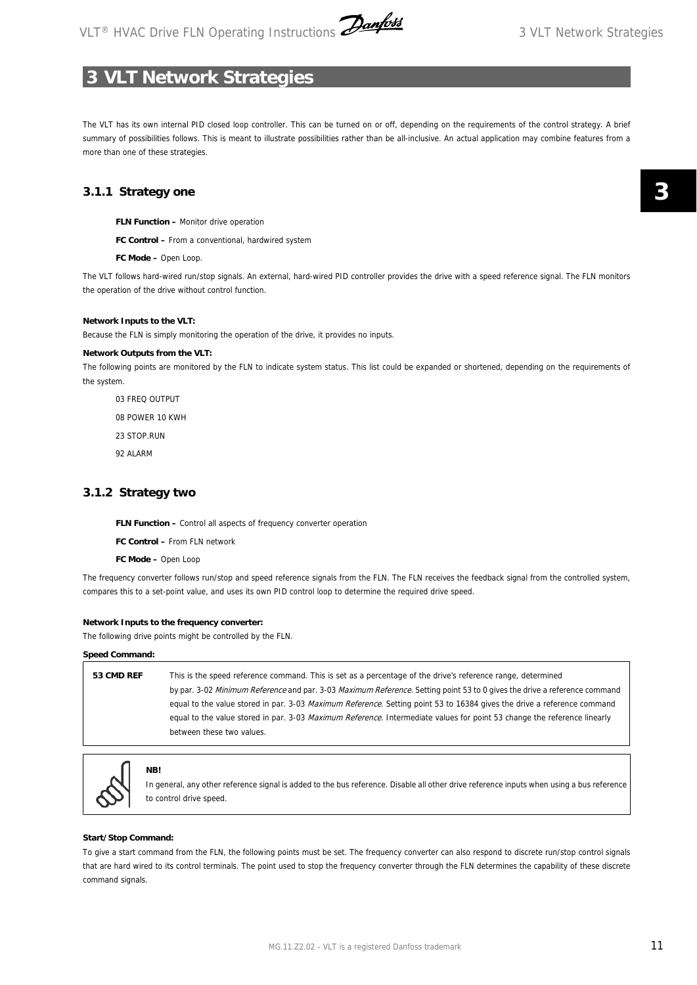### **3 VLT Network Strategies**

The VLT has its own internal PID closed loop controller. This can be turned on or off, depending on the requirements of the control strategy. A brief summary of possibilities follows. This is meant to illustrate possibilities rather than be all-inclusive. An actual application may combine features from a more than one of these strategies.

#### **3.1.1 Strategy one**

**FLN Function –** Monitor drive operation

**FC Control –** From a conventional, hardwired system

**FC Mode –** Open Loop.

The VLT follows hard-wired run/stop signals. An external, hard-wired PID controller provides the drive with a speed reference signal. The FLN monitors the operation of the drive without control function.

#### **Network Inputs to the VLT:**

Because the FLN is simply monitoring the operation of the drive, it provides no inputs.

#### **Network Outputs from the VLT:**

The following points are monitored by the FLN to indicate system status. This list could be expanded or shortened, depending on the requirements of the system.

03 FREQ OUTPUT

08 POWER 10 KWH

23 STOP.RUN

92 ALARM

#### **3.1.2 Strategy two**

**FLN Function –** Control all aspects of frequency converter operation

**FC Control –** From FLN network

**FC Mode –** Open Loop

The frequency converter follows run/stop and speed reference signals from the FLN. The FLN receives the feedback signal from the controlled system, compares this to a set-point value, and uses its own PID control loop to determine the required drive speed.

#### **Network Inputs to the frequency converter:**

The following drive points might be controlled by the FLN.

#### **Speed Command:**

**53 CMD REF** This is the speed reference command. This is set as a percentage of the drive's reference range, determined by par. 3-02 Minimum Reference and par. 3-03 Maximum Reference. Setting point 53 to 0 gives the drive a reference command equal to the value stored in par. 3-03 Maximum Reference. Setting point 53 to 16384 gives the drive a reference command equal to the value stored in par. 3-03 Maximum Reference. Intermediate values for point 53 change the reference linearly between these two values.



**NB!**

In general, any other reference signal is added to the bus reference. Disable all other drive reference inputs when using a bus reference to control drive speed.

#### **Start/Stop Command:**

To give a start command from the FLN, the following points must be set. The frequency converter can also respond to discrete run/stop control signals that are hard wired to its control terminals. The point used to stop the frequency converter through the FLN determines the capability of these discrete command signals.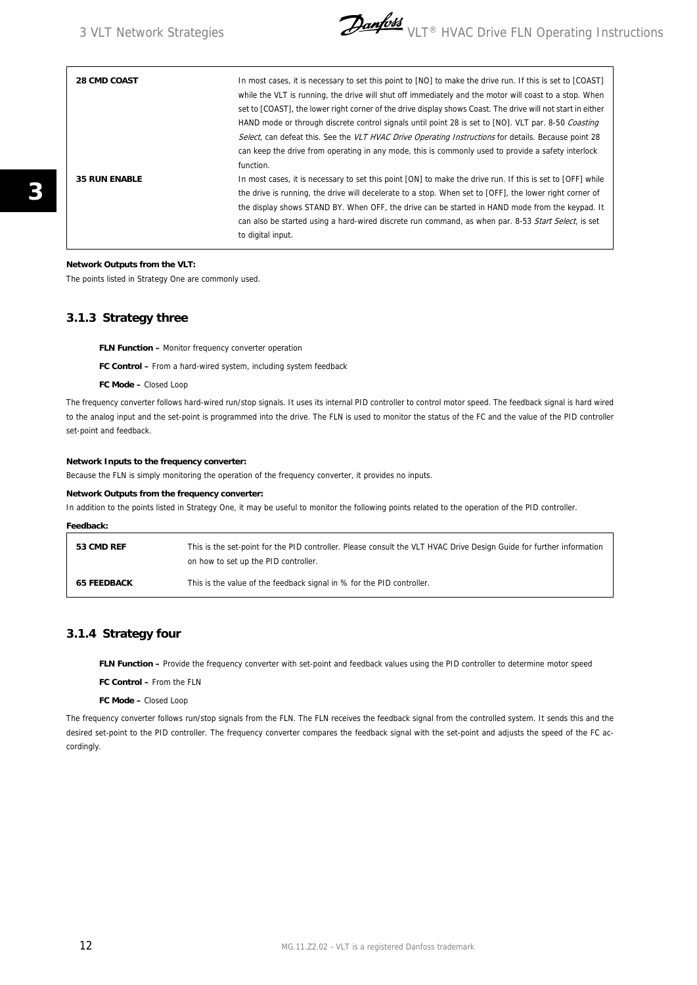| In most cases, it is necessary to set this point to [NO] to make the drive run. If this is set to [COAST]           |
|---------------------------------------------------------------------------------------------------------------------|
| while the VLT is running, the drive will shut off immediately and the motor will coast to a stop. When              |
| set to [COAST], the lower right corner of the drive display shows Coast. The drive will not start in either         |
| HAND mode or through discrete control signals until point 28 is set to [NO]. VLT par. 8-50 <i>Coasting</i>          |
| <i>Select</i> , can defeat this. See the <i>VLT HVAC Drive Operating Instructions</i> for details. Because point 28 |
| can keep the drive from operating in any mode, this is commonly used to provide a safety interlock                  |
| function.                                                                                                           |
| In most cases, it is necessary to set this point [ON] to make the drive run. If this is set to [OFF] while          |
| the drive is running, the drive will decelerate to a stop. When set to [OFF], the lower right corner of             |
| the display shows STAND BY. When OFF, the drive can be started in HAND mode from the keypad. It                     |
| can also be started using a hard-wired discrete run command, as when par. 8-53 Start Select, is set                 |
| to digital input.                                                                                                   |
|                                                                                                                     |

**Network Outputs from the VLT:**

The points listed in Strategy One are commonly used.

#### **3.1.3 Strategy three**

**FLN Function –** Monitor frequency converter operation

**FC Control –** From a hard-wired system, including system feedback

**FC Mode –** Closed Loop

The frequency converter follows hard-wired run/stop signals. It uses its internal PID controller to control motor speed. The feedback signal is hard wired to the analog input and the set-point is programmed into the drive. The FLN is used to monitor the status of the FC and the value of the PID controller set-point and feedback.

#### **Network Inputs to the frequency converter:**

Because the FLN is simply monitoring the operation of the frequency converter, it provides no inputs.

#### **Network Outputs from the frequency converter:**

In addition to the points listed in Strategy One, it may be useful to monitor the following points related to the operation of the PID controller.

| Feedback:          |                                                                                                                                                              |
|--------------------|--------------------------------------------------------------------------------------------------------------------------------------------------------------|
| <b>53 CMD REF</b>  | This is the set-point for the PID controller. Please consult the VLT HVAC Drive Design Guide for further information<br>on how to set up the PID controller. |
| <b>65 FEEDBACK</b> | This is the value of the feedback signal in % for the PID controller.                                                                                        |

#### **3.1.4 Strategy four**

**FLN Function –** Provide the frequency converter with set-point and feedback values using the PID controller to determine motor speed

**FC Control –** From the FLN

**FC Mode –** Closed Loop

The frequency converter follows run/stop signals from the FLN. The FLN receives the feedback signal from the controlled system. It sends this and the desired set-point to the PID controller. The frequency converter compares the feedback signal with the set-point and adjusts the speed of the FC accordingly.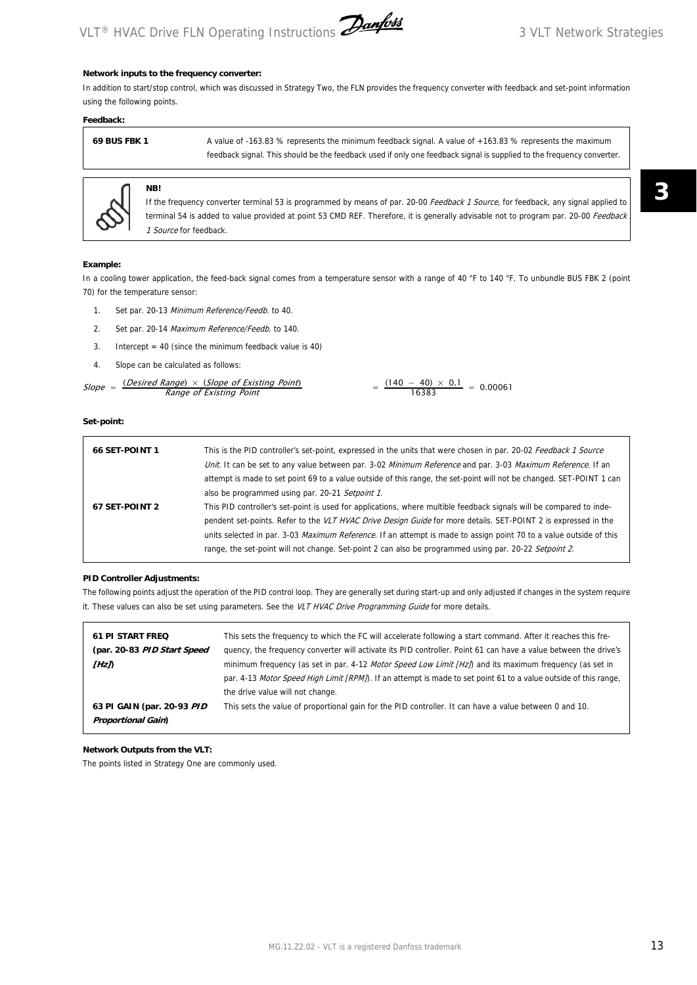# VLT® HVAC Drive FLN Operating Instructions **Aanfoss** 3 VLT Network Strategies

#### **Network inputs to the frequency converter:**

In addition to start/stop control, which was discussed in Strategy Two, the FLN provides the frequency converter with feedback and set-point information using the following points.

#### **Feedback:**

**69 BUS FBK 1** A value of -163.83 % represents the minimum feedback signal. A value of +163.83 % represents the maximum feedback signal. This should be the feedback used if only one feedback signal is supplied to the frequency converter.



#### **NB!**

If the frequency converter terminal 53 is programmed by means of par. 20-00 Feedback 1 Source, for feedback, any signal applied to terminal 54 is added to value provided at point 53 CMD REF. Therefore, it is generally advisable not to program par. 20-00 Feedback 1 Source for feedback.

#### **Example:**

In a cooling tower application, the feed-back signal comes from a temperature sensor with a range of 40 °F to 140 °F. To unbundle BUS FBK 2 (point 70) for the temperature sensor:

- 1. Set par. 20-13 Minimum Reference/Feedb. to 40.
- 2. Set par. 20-14 Maximum Reference/Feedb. to 140.
- 3. Intercept = 40 (since the minimum feedback value is 40)
- 4. Slope can be calculated as follows:

*Slope* = 
$$
\frac{(Designed Range) \times (Slope of Existing Point)}{Range of Existing Point} = \frac{(140 - 40) \times 0.1}{16383} = 0.00061
$$

**Set-point:**

| 66 SET-POINT 1 | This is the PID controller's set-point, expressed in the units that were chosen in par. 20-02 Feedback 1 Source<br>Unit. It can be set to any value between par. 3-02 Minimum Reference and par. 3-03 Maximum Reference. If an<br>attempt is made to set point 69 to a value outside of this range, the set-point will not be changed. SET-POINT 1 can |
|----------------|--------------------------------------------------------------------------------------------------------------------------------------------------------------------------------------------------------------------------------------------------------------------------------------------------------------------------------------------------------|
| 67 SET-POINT 2 | also be programmed using par. 20-21 Setpoint 1.<br>This PID controller's set-point is used for applications, where multible feedback signals will be compared to inde-<br>pendent set-points. Refer to the VLT HVAC Drive Design Guide for more details. SET-POINT 2 is expressed in the                                                               |
|                | units selected in par. 3-03 <i>Maximum Reference</i> . If an attempt is made to assign point 70 to a value outside of this<br>range, the set-point will not change. Set-point 2 can also be programmed using par. 20-22 Setpoint 2.                                                                                                                    |

#### **PID Controller Adjustments:**

The following points adjust the operation of the PID control loop. They are generally set during start-up and only adjusted if changes in the system require it. These values can also be set using parameters. See the VLT HVAC Drive Programming Guide for more details.

| <b>61 PI START FREQ</b>     | This sets the frequency to which the FC will accelerate following a start command. After it reaches this fre-   |
|-----------------------------|-----------------------------------------------------------------------------------------------------------------|
| (par. 20-83 PID Start Speed | guency, the frequency converter will activate its PID controller. Point 61 can have a value between the drive's |
| [Hz])                       | minimum frequency (as set in par. 4-12 <i>Motor Speed Low Limit [Hz]</i> ) and its maximum frequency (as set in |
|                             | par. 4-13 Motor Speed High Limit (RPM). If an attempt is made to set point 61 to a value outside of this range, |
|                             | the drive value will not change.                                                                                |
| 63 PI GAIN (par. 20-93 PID  | This sets the value of proportional gain for the PID controller. It can have a value between 0 and 10.          |
| <b>Proportional Gain)</b>   |                                                                                                                 |

#### **Network Outputs from the VLT:**

The points listed in Strategy One are commonly used.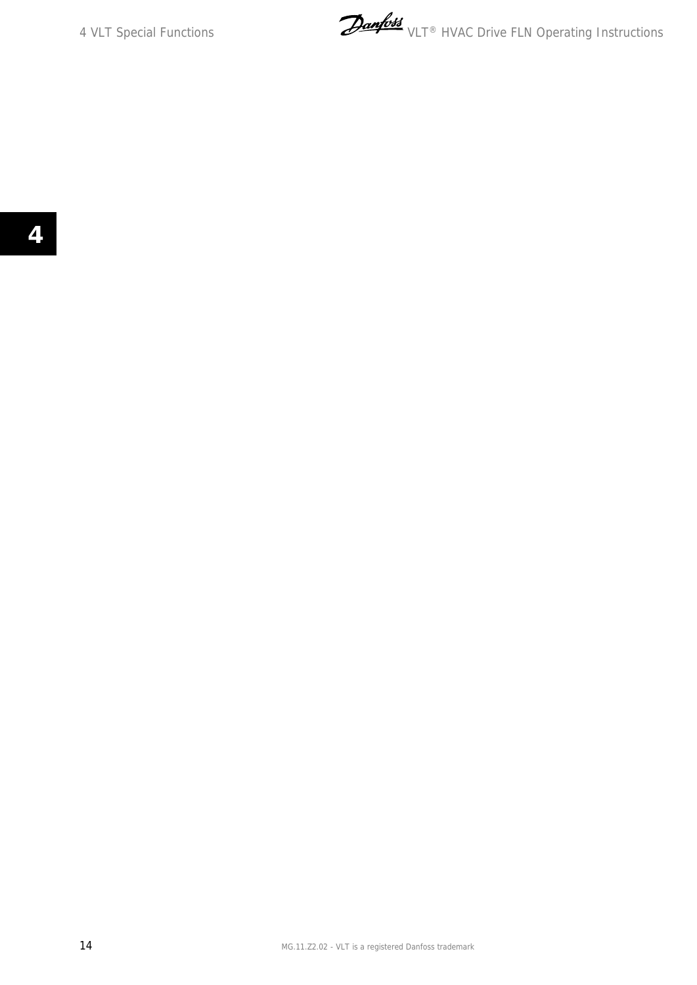4 VLT Special Functions **Danfold** VLT® HVAC Drive FLN Operating Instructions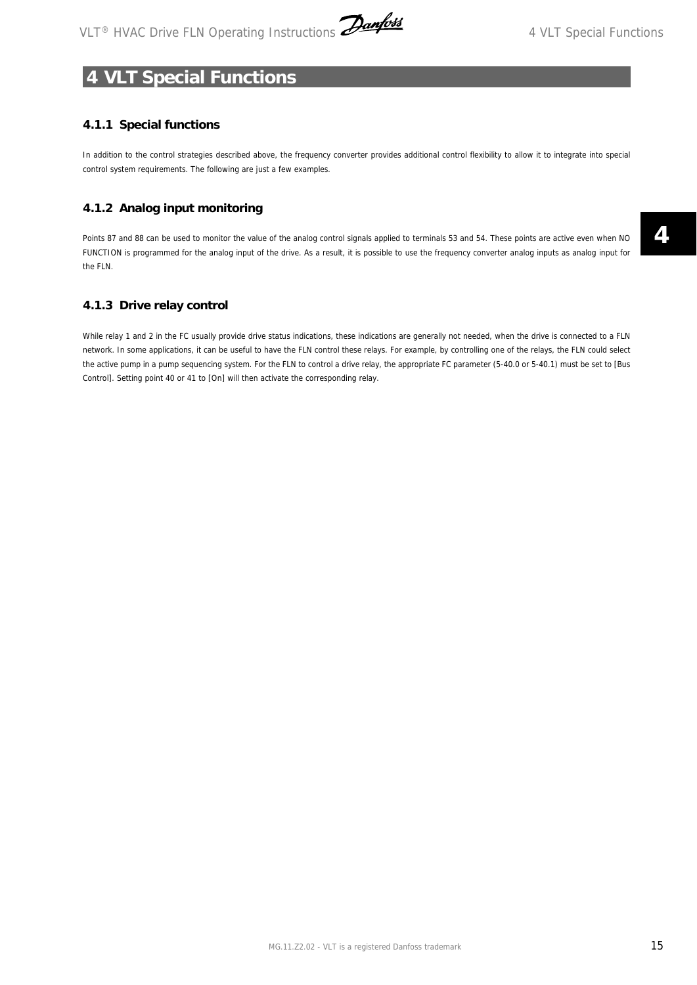## **4 VLT Special Functions**

### **4.1.1 Special functions**

In addition to the control strategies described above, the frequency converter provides additional control flexibility to allow it to integrate into special control system requirements. The following are just a few examples.

### **4.1.2 Analog input monitoring**

Points 87 and 88 can be used to monitor the value of the analog control signals applied to terminals 53 and 54. These points are active even when NO FUNCTION is programmed for the analog input of the drive. As a result, it is possible to use the frequency converter analog inputs as analog input for the FLN.

#### **4.1.3 Drive relay control**

While relay 1 and 2 in the FC usually provide drive status indications, these indications are generally not needed, when the drive is connected to a FLN network. In some applications, it can be useful to have the FLN control these relays. For example, by controlling one of the relays, the FLN could select the active pump in a pump sequencing system. For the FLN to control a drive relay, the appropriate FC parameter (5-40.0 or 5-40.1) must be set to [Bus Control]. Setting point 40 or 41 to [On] will then activate the corresponding relay.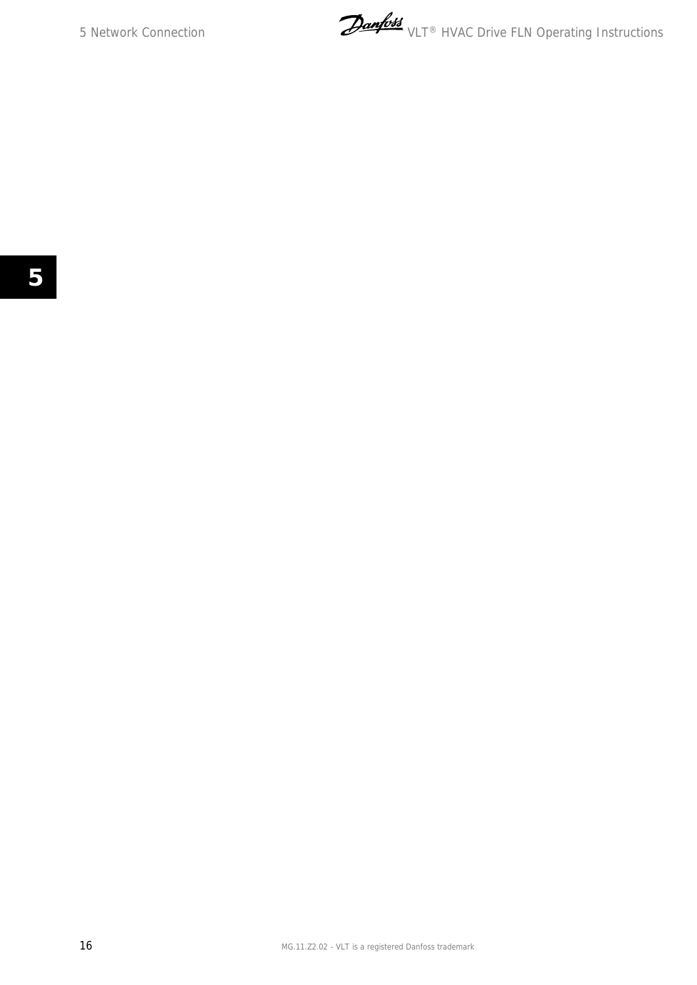5 Network Connection **Connection Connection** VLT® HVAC Drive FLN Operating Instructions

16 MG.11.Z2.02 - VLT is a registered Danfoss trademark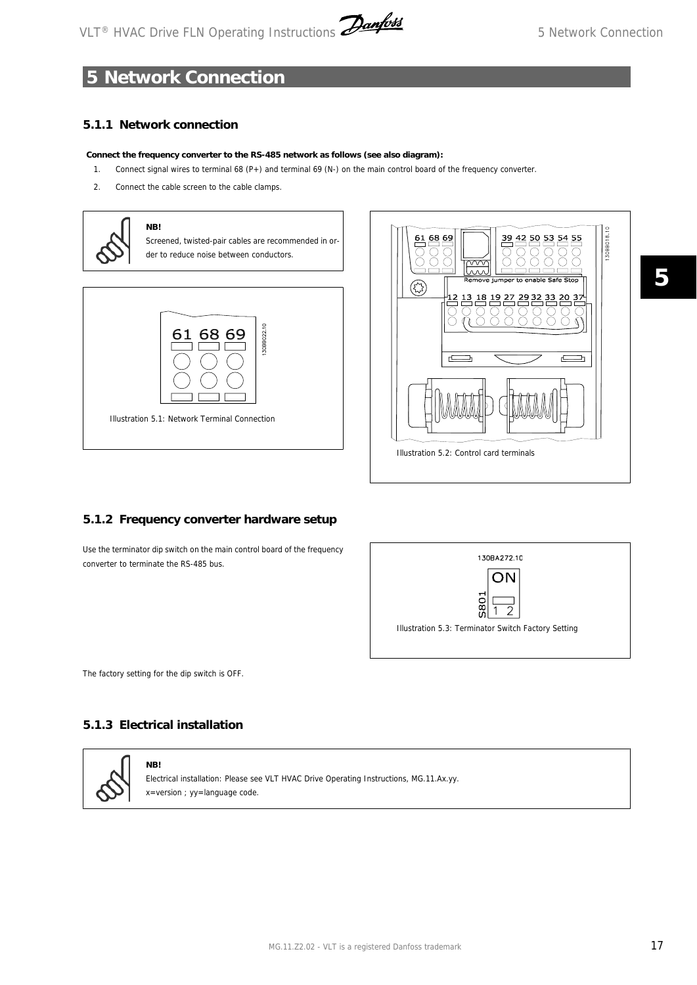

## **5 Network Connection**

#### **5.1.1 Network connection**

#### **Connect the frequency converter to the RS-485 network as follows (see also diagram):**

- 1. Connect signal wires to terminal 68 (P+) and terminal 69 (N-) on the main control board of the frequency converter.
- 2. Connect the cable screen to the cable clamps.



13088018.10  $\qquad \qquad \Box$  $\qquad \qquad$ Illustration 5.2: Control card terminals

#### **5.1.2 Frequency converter hardware setup**

Use the terminator dip switch on the main control board of the frequency converter to terminate the RS-485 bus.



The factory setting for the dip switch is OFF.

#### **5.1.3 Electrical installation**

**NB!**



Electrical installation: Please see VLT HVAC Drive Operating Instructions, MG.11.Ax.yy. x=version ; yy=language code.

MG.11.Z2.02 - VLT is a registered Danfoss trademark 17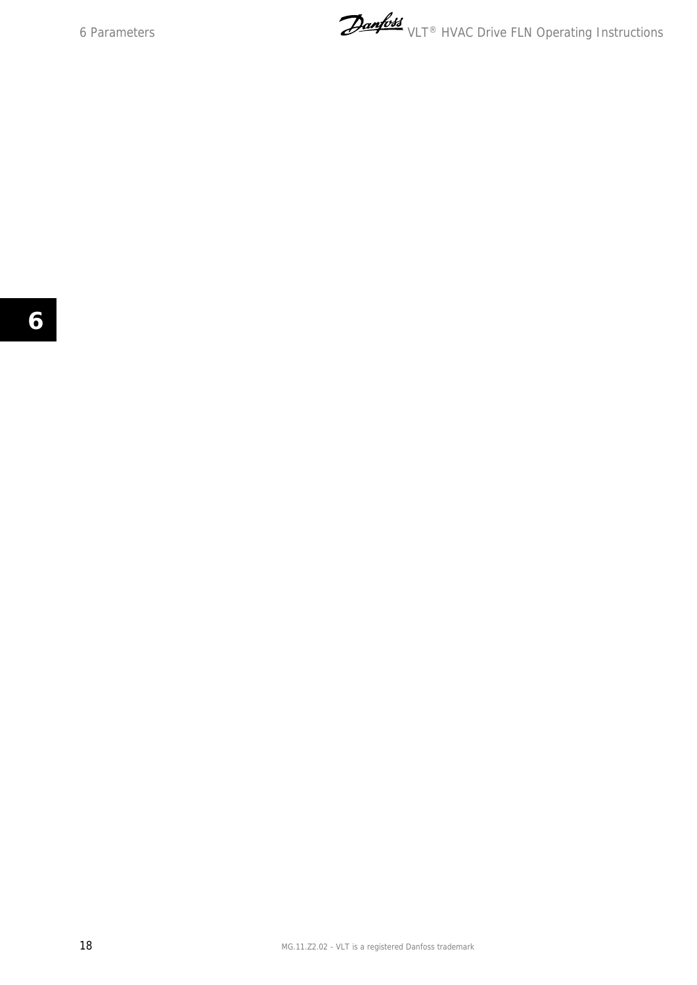6 Parameters **Danfost** VLT® HVAC Drive FLN Operating Instructions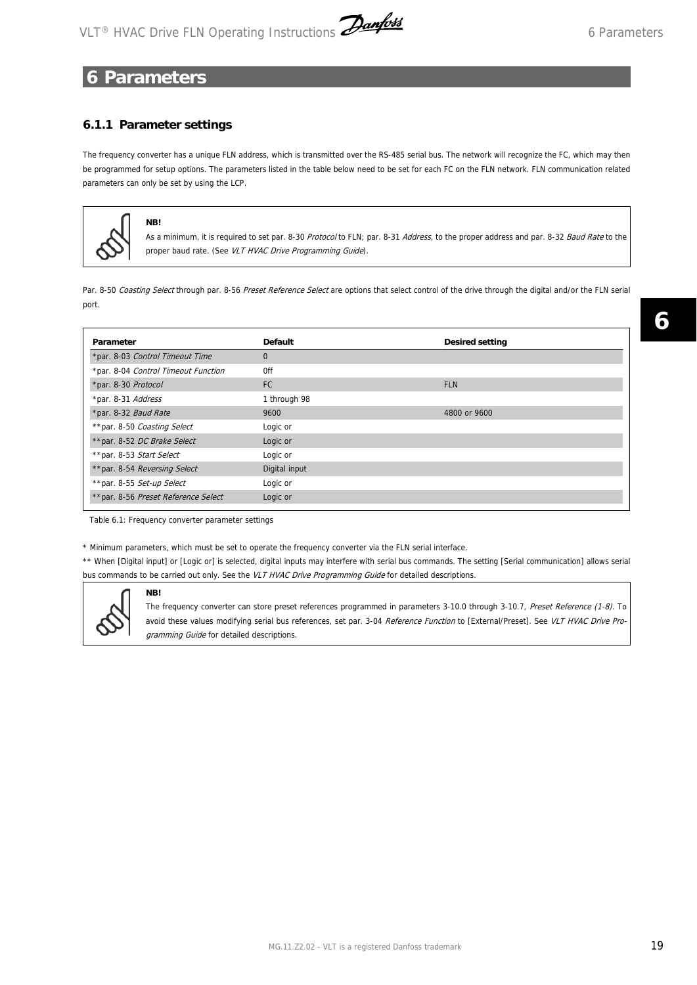# **6 Parameters**

#### **6.1.1 Parameter settings**

The frequency converter has a unique FLN address, which is transmitted over the RS-485 serial bus. The network will recognize the FC, which may then be programmed for setup options. The parameters listed in the table below need to be set for each FC on the FLN network. FLN communication related parameters can only be set by using the LCP.



#### **NB!**

As a minimum, it is required to set par. 8-30 Protocol to FLN; par. 8-31 Address, to the proper address and par. 8-32 Baud Rate to the proper baud rate. (See VLT HVAC Drive Programming Guide).

Par. 8-50 Coasting Select through par. 8-56 Preset Reference Select are options that select control of the drive through the digital and/or the FLN serial port.

| Parameter                           | <b>Default</b> | <b>Desired setting</b> |
|-------------------------------------|----------------|------------------------|
| *par. 8-03 Control Timeout Time     | 0              |                        |
| *par. 8-04 Control Timeout Function | Off            |                        |
| *par. 8-30 Protocol                 | FC.            | <b>FLN</b>             |
| *par. 8-31 Address                  | 1 through 98   |                        |
| *par. 8-32 Baud Rate                | 9600           | 4800 or 9600           |
| **par. 8-50 Coasting Select         | Logic or       |                        |
| **par. 8-52 DC Brake Select         | Logic or       |                        |
| **par. 8-53 Start Select            | Logic or       |                        |
| **par. 8-54 Reversing Select        | Digital input  |                        |
| **par. 8-55 Set-up Select           | Logic or       |                        |
| **par. 8-56 Preset Reference Select | Logic or       |                        |

Table 6.1: Frequency converter parameter settings

\* Minimum parameters, which must be set to operate the frequency converter via the FLN serial interface.

\*\* When [Digital input] or [Logic or] is selected, digital inputs may interfere with serial bus commands. The setting [Serial communication] allows serial bus commands to be carried out only. See the VLT HVAC Drive Programming Guide for detailed descriptions.

**NB!**

The frequency converter can store preset references programmed in parameters 3-10.0 through 3-10.7, Preset Reference (1-8). To avoid these values modifying serial bus references, set par. 3-04 Reference Function to [External/Preset]. See VLT HVAC Drive Programming Guide for detailed descriptions.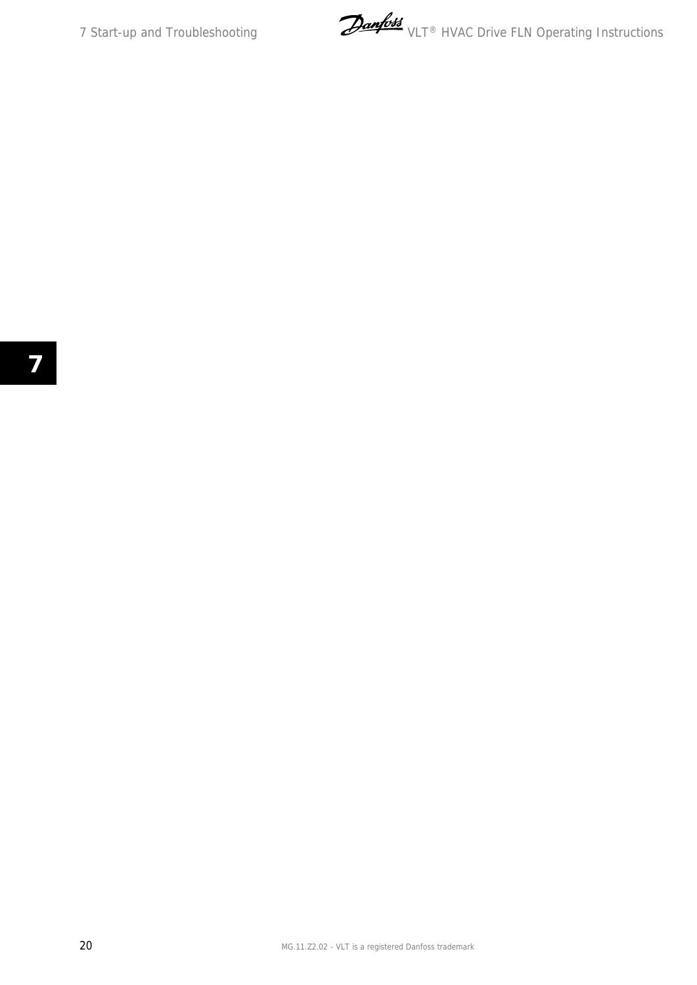7 Start-up and Troubleshooting **Danfoss** VLT® HVAC Drive FLN Operating Instructions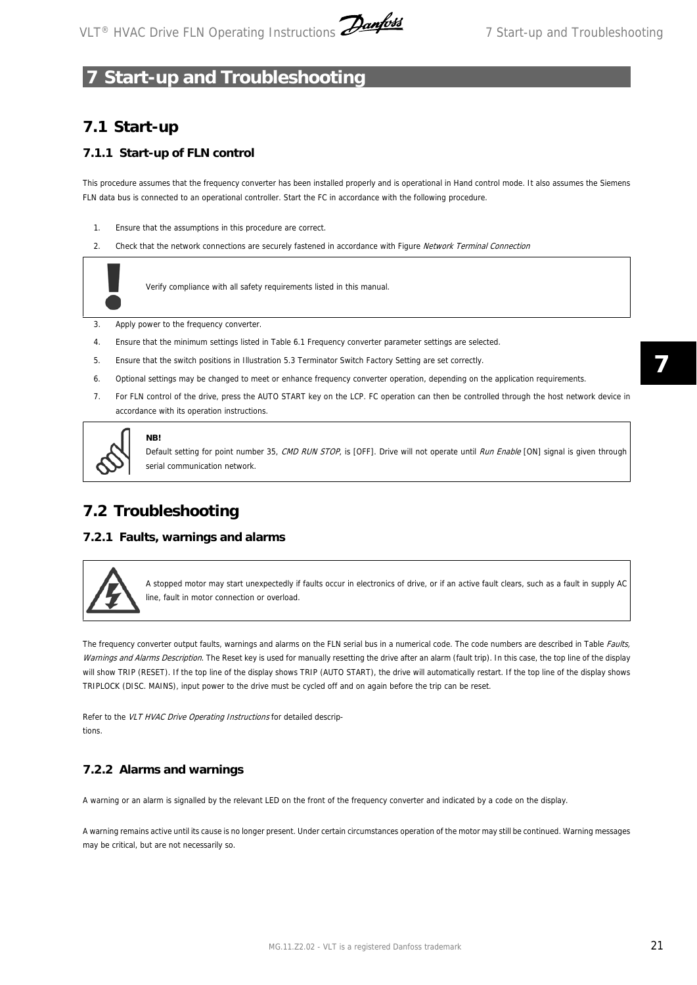# VLT® HVAC Drive FLN Operating Instructions **Aanfold** 7 Start-up and Troubleshooting

# **7 Start-up and Troubleshooting**

### **7.1 Start-up**

### **7.1.1 Start-up of FLN control**

This procedure assumes that the frequency converter has been installed properly and is operational in Hand control mode. It also assumes the Siemens FLN data bus is connected to an operational controller. Start the FC in accordance with the following procedure.

- 1. Ensure that the assumptions in this procedure are correct.
- 2. Check that the network connections are securely fastened in accordance with Figure Network Terminal Connection

Verify compliance with all safety requirements listed in this manual.

3. Apply power to the frequency converter.

- 4. Ensure that the minimum settings listed in Table 6.1 Frequency converter parameter settings are selected.
- 5. Ensure that the switch positions in Illustration 5.3 Terminator Switch Factory Setting are set correctly.
- 6. Optional settings may be changed to meet or enhance frequency converter operation, depending on the application requirements.
- 7. For FLN control of the drive, press the AUTO START key on the LCP. FC operation can then be controlled through the host network device in accordance with its operation instructions.

![](_page_20_Picture_14.jpeg)

### **NB!**

Default setting for point number 35, CMD RUN STOP, is [OFF]. Drive will not operate until Run Enable [ON] signal is given through serial communication network.

## **7.2 Troubleshooting**

#### **7.2.1 Faults, warnings and alarms**

![](_page_20_Picture_19.jpeg)

A stopped motor may start unexpectedly if faults occur in electronics of drive, or if an active fault clears, such as a fault in supply AC line, fault in motor connection or overload.

The frequency converter output faults, warnings and alarms on the FLN serial bus in a numerical code. The code numbers are described in Table Faults, Warnings and Alarms Description. The Reset key is used for manually resetting the drive after an alarm (fault trip). In this case, the top line of the display will show TRIP (RESET). If the top line of the display shows TRIP (AUTO START), the drive will automatically restart. If the top line of the display shows TRIPLOCK (DISC. MAINS), input power to the drive must be cycled off and on again before the trip can be reset.

Refer to the VLT HVAC Drive Operating Instructions for detailed descriptions.

#### **7.2.2 Alarms and warnings**

A warning or an alarm is signalled by the relevant LED on the front of the frequency converter and indicated by a code on the display.

A warning remains active until its cause is no longer present. Under certain circumstances operation of the motor may still be continued. Warning messages may be critical, but are not necessarily so.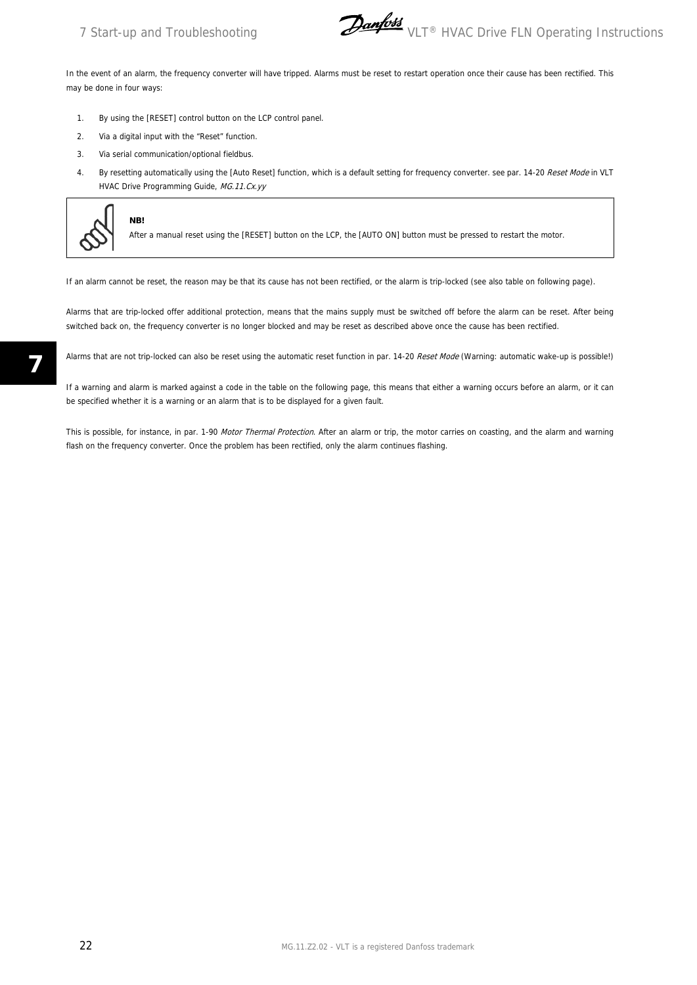![](_page_21_Picture_1.jpeg)

In the event of an alarm, the frequency converter will have tripped. Alarms must be reset to restart operation once their cause has been rectified. This may be done in four ways:

- 1. By using the [RESET] control button on the LCP control panel.
- 2. Via a digital input with the "Reset" function.
- 3. Via serial communication/optional fieldbus.
- 4. By resetting automatically using the [Auto Reset] function, which is a default setting for frequency converter. see par. 14-20 Reset Mode in VLT HVAC Drive Programming Guide, MG.11.Cx.yy

![](_page_21_Picture_7.jpeg)

### **NB!**

After a manual reset using the [RESET] button on the LCP, the [AUTO ON] button must be pressed to restart the motor.

If an alarm cannot be reset, the reason may be that its cause has not been rectified, or the alarm is trip-locked (see also table on following page).

Alarms that are trip-locked offer additional protection, means that the mains supply must be switched off before the alarm can be reset. After being switched back on, the frequency converter is no longer blocked and may be reset as described above once the cause has been rectified.

Alarms that are not trip-locked can also be reset using the automatic reset function in par. 14-20 Reset Mode (Warning: automatic wake-up is possible!)

If a warning and alarm is marked against a code in the table on the following page, this means that either a warning occurs before an alarm, or it can be specified whether it is a warning or an alarm that is to be displayed for a given fault.

This is possible, for instance, in par. 1-90 Motor Thermal Protection. After an alarm or trip, the motor carries on coasting, and the alarm and warning flash on the frequency converter. Once the problem has been rectified, only the alarm continues flashing.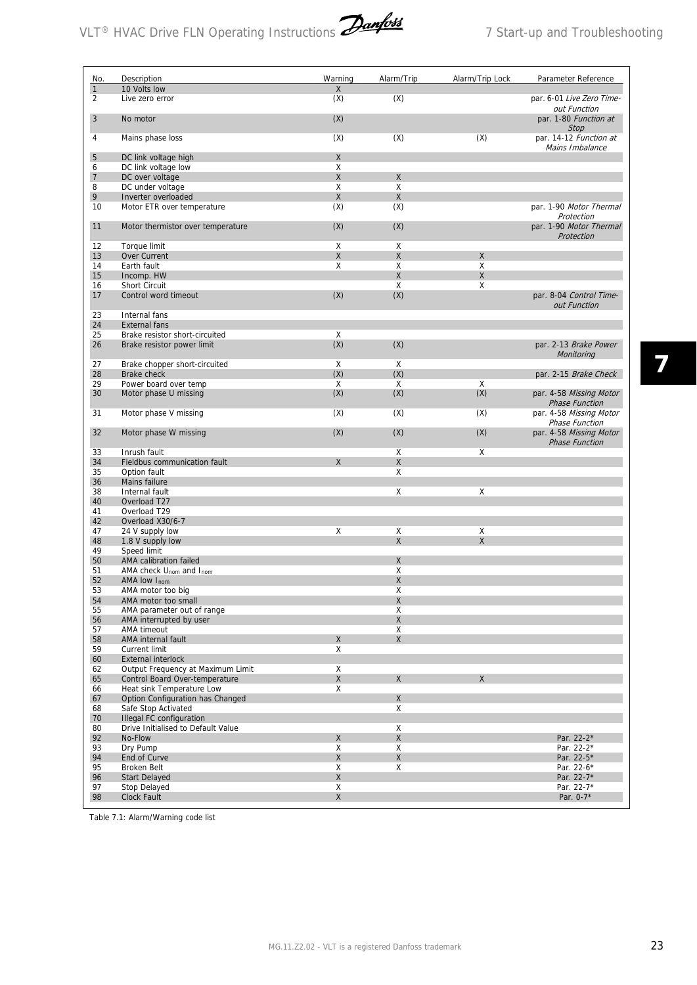# VLT<sup>®</sup> HVAC Drive FLN Operating Instructions **Aanfold** 7 Start-up and Troubleshooting

| No.                              | Description                                                               | Warning  | Alarm/Trip   | Alarm/Trip Lock | Parameter Reference                              |
|----------------------------------|---------------------------------------------------------------------------|----------|--------------|-----------------|--------------------------------------------------|
| $\overline{1}$<br>$\overline{2}$ | 10 Volts low<br>Live zero error                                           | X<br>(X) | (X)          |                 | par. 6-01 Live Zero Time-                        |
|                                  |                                                                           |          |              |                 | out Function                                     |
| 3                                | No motor                                                                  | (X)      |              |                 | par. 1-80 Function at<br><b>Stop</b>             |
| 4                                | Mains phase loss                                                          | (X)      | (X)          | (X)             | par. 14-12 Function at<br>Mains Imbalance        |
| 5                                | DC link voltage high                                                      | X        |              |                 |                                                  |
| 6                                | DC link voltage low                                                       | Χ        |              |                 |                                                  |
| $\overline{7}$<br>8              | DC over voltage<br>DC under voltage                                       | X<br>X   | Χ<br>Χ       |                 |                                                  |
| 9                                | Inverter overloaded                                                       | X        | X            |                 |                                                  |
| 10                               | Motor ETR over temperature                                                | (X)      | (X)          |                 | par. 1-90 Motor Thermal<br>Protection            |
| 11                               | Motor thermistor over temperature                                         | (X)      | (X)          |                 | par. 1-90 Motor Thermal<br>Protection            |
| 12                               | Torque limit                                                              | Χ        | X            |                 |                                                  |
| 13                               | <b>Over Current</b>                                                       | X        | Χ            | X               |                                                  |
| 14                               | Earth fault                                                               | X        | Χ            | X               |                                                  |
| 15                               | Incomp. HW                                                                |          | Χ            | X               |                                                  |
| 16<br>17                         | <b>Short Circuit</b><br>Control word timeout                              | (X)      | X<br>(X)     | X               | par. 8-04 Control Time-<br>out Function          |
| 23                               | Internal fans                                                             |          |              |                 |                                                  |
| 24                               | <b>External fans</b>                                                      |          |              |                 |                                                  |
| 25<br>26                         | Brake resistor short-circuited<br>Brake resistor power limit              | X<br>(X) | (X)          |                 | par. 2-13 Brake Power                            |
|                                  |                                                                           |          |              |                 | Monitoring                                       |
| 27                               | Brake chopper short-circuited                                             | Χ        | Χ            |                 |                                                  |
| 28<br>29                         | <b>Brake check</b><br>Power board over temp                               | (X)<br>X | (X)<br>X     | X               | par. 2-15 Brake Check                            |
| 30                               | Motor phase U missing                                                     | (X)      | (X)          | (X)             | par. 4-58 Missing Motor<br>Phase Function        |
| 31                               | Motor phase V missing                                                     | (X)      | (X)          | (X)             | par. 4-58 Missing Motor<br>Phase Function        |
| 32                               | Motor phase W missing                                                     | (X)      | (X)          | (X)             | par. 4-58 Missing Motor<br><b>Phase Function</b> |
| 33                               | Inrush fault                                                              |          | Χ            | Χ               |                                                  |
| 34                               | Fieldbus communication fault                                              | X        | Χ            |                 |                                                  |
| 35                               | Option fault                                                              |          | Χ            |                 |                                                  |
| 36<br>38                         | Mains failure<br>Internal fault                                           |          | X            | Χ               |                                                  |
| 40                               | Overload T27                                                              |          |              |                 |                                                  |
| 41                               | Overload T29                                                              |          |              |                 |                                                  |
| 42                               | Overload X30/6-7                                                          |          |              |                 |                                                  |
| 47                               | 24 V supply low                                                           | Χ        | Χ            | Χ               |                                                  |
| 48                               | 1.8 V supply low                                                          |          | X            | X               |                                                  |
| 49                               | Speed limit                                                               |          |              |                 |                                                  |
| 50<br>51                         | AMA calibration failed<br>AMA check U <sub>nom</sub> and I <sub>nom</sub> |          | Χ<br>Χ       |                 |                                                  |
| 52                               | AMA low Inom                                                              |          | Χ            |                 |                                                  |
| 53                               | AMA motor too big                                                         |          | X            |                 |                                                  |
| 54                               | AMA motor too small                                                       |          | Χ            |                 |                                                  |
| 55                               | AMA parameter out of range                                                |          | X            |                 |                                                  |
| 56                               | AMA interrupted by user                                                   |          | X            |                 |                                                  |
| 57                               | AMA timeout                                                               |          | $\mathsf X$  |                 |                                                  |
| 58                               | AMA internal fault                                                        | X        | $\mathsf{X}$ |                 |                                                  |
| 59<br>60                         | Current limit<br>External interlock                                       | X        |              |                 |                                                  |
| 62                               | Output Frequency at Maximum Limit                                         | Χ        |              |                 |                                                  |
| 65                               | Control Board Over-temperature                                            | X        | X            | X               |                                                  |
| 66                               | Heat sink Temperature Low                                                 | X        |              |                 |                                                  |
| 67                               | Option Configuration has Changed                                          |          | $\mathsf X$  |                 |                                                  |
| 68                               | Safe Stop Activated                                                       |          | Χ            |                 |                                                  |
| 70<br>80                         | Illegal FC configuration<br>Drive Initialised to Default Value            |          | X            |                 |                                                  |
| 92                               | No-Flow                                                                   | Χ        | Χ            |                 | Par. 22-2*                                       |
| 93                               | Dry Pump                                                                  | Χ        | Χ            |                 | Par. 22-2*                                       |
| 94                               | End of Curve                                                              | X        | Χ            |                 | Par. 22-5*                                       |
| 95                               | <b>Broken Belt</b>                                                        | Χ        | X            |                 | Par. 22-6*                                       |
|                                  | <b>Start Delayed</b>                                                      | X        |              |                 | Par. 22-7*                                       |
| 96<br>97                         | Stop Delayed                                                              | Χ        |              |                 | Par. 22-7*                                       |

Table 7.1: Alarm/Warning code list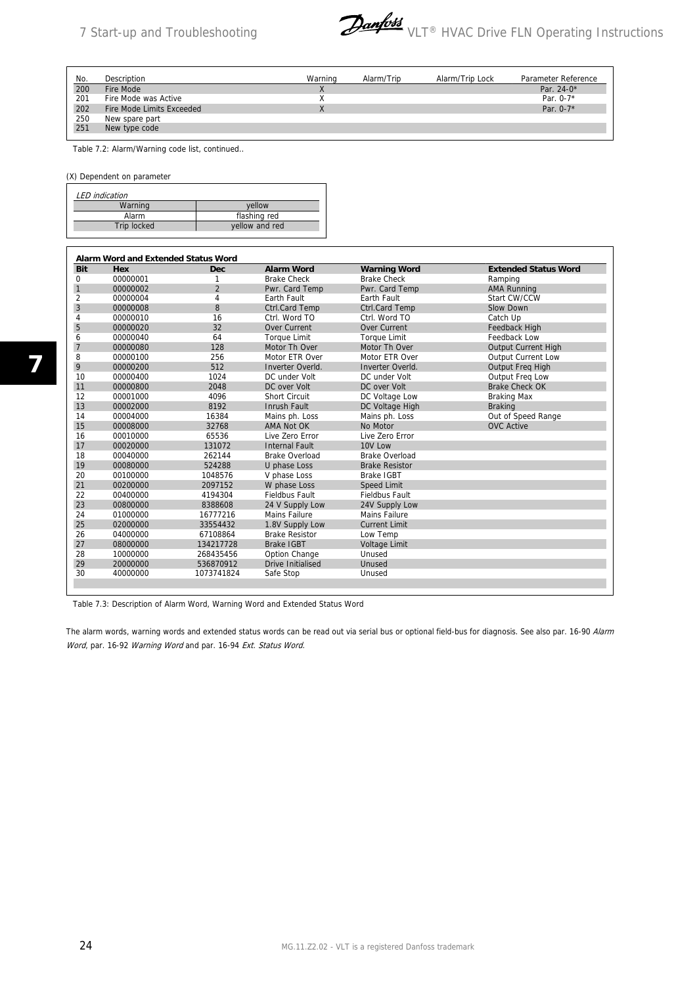![](_page_23_Picture_1.jpeg)

| No  | Description               | Warning | Alarm/Trip | Alarm/Trip Lock | Parameter Reference |
|-----|---------------------------|---------|------------|-----------------|---------------------|
| 200 | Fire Mode                 |         |            |                 | Par. 24-0*          |
| 201 | Fire Mode was Active      |         |            |                 | Par. $0-7*$         |
| 202 | Fire Mode Limits Exceeded |         |            |                 | Par. $0-7*$         |
| 250 | New spare part            |         |            |                 |                     |
| 251 | New type code             |         |            |                 |                     |
|     |                           |         |            |                 |                     |

Table 7.2: Alarm/Warning code list, continued..

(X) Dependent on parameter

| <b>LED</b> indication |                |
|-----------------------|----------------|
| Warning               | vellow         |
| Alarm                 | flashing red   |
| Trip locked           | yellow and red |

| <b>Bit</b>     | <b>Hex</b> | <b>Dec</b>     | <b>Alarm Word</b>        | <b>Warning Word</b>   | <b>Extended Status Word</b> |
|----------------|------------|----------------|--------------------------|-----------------------|-----------------------------|
| 0              | 00000001   | 1              | <b>Brake Check</b>       | <b>Brake Check</b>    | Ramping                     |
| $\overline{1}$ | 00000002   | $\overline{2}$ | Pwr. Card Temp           | Pwr. Card Temp        | <b>AMA Running</b>          |
| $\overline{2}$ | 00000004   | 4              | Earth Fault              | Earth Fault           | Start CW/CCW                |
| $\overline{3}$ | 00000008   | 8              | <b>Ctrl.Card Temp</b>    | <b>Ctrl.Card Temp</b> | <b>Slow Down</b>            |
| 4              | 00000010   | 16             | Ctrl. Word TO            | Ctrl. Word TO         | Catch Up                    |
| 5              | 00000020   | 32             | <b>Over Current</b>      | <b>Over Current</b>   | Feedback High               |
| 6              | 00000040   | 64             | <b>Torque Limit</b>      | <b>Torque Limit</b>   | Feedback Low                |
| $\overline{7}$ | 00000080   | 128            | Motor Th Over            | Motor Th Over         | <b>Output Current High</b>  |
| 8              | 00000100   | 256            | Motor ETR Over           | Motor ETR Over        | <b>Output Current Low</b>   |
| 9              | 00000200   | 512            | Inverter Overld.         | Inverter Overld.      | <b>Output Freq High</b>     |
| 10             | 00000400   | 1024           | DC under Volt            | DC under Volt         | Output Freq Low             |
| 11             | 00000800   | 2048           | DC over Volt             | DC over Volt          | <b>Brake Check OK</b>       |
| 12             | 00001000   | 4096           | <b>Short Circuit</b>     | DC Voltage Low        | <b>Braking Max</b>          |
| 13             | 00002000   | 8192           | <b>Inrush Fault</b>      | DC Voltage High       | <b>Braking</b>              |
| 14             | 00004000   | 16384          | Mains ph. Loss           | Mains ph. Loss        | Out of Speed Range          |
| 15             | 00008000   | 32768          | <b>AMA Not OK</b>        | No Motor              | <b>OVC Active</b>           |
| 16             | 00010000   | 65536          | Live Zero Error          | Live Zero Error       |                             |
| 17             | 00020000   | 131072         | <b>Internal Fault</b>    | 10V Low               |                             |
| 18             | 00040000   | 262144         | <b>Brake Overload</b>    | <b>Brake Overload</b> |                             |
| 19             | 00080000   | 524288         | U phase Loss             | <b>Brake Resistor</b> |                             |
| 20             | 00100000   | 1048576        | V phase Loss             | <b>Brake IGBT</b>     |                             |
| 21             | 00200000   | 2097152        | W phase Loss             | <b>Speed Limit</b>    |                             |
| 22             | 00400000   | 4194304        | Fieldbus Fault           | <b>Fieldbus Fault</b> |                             |
| 23             | 00800000   | 8388608        | 24 V Supply Low          | 24V Supply Low        |                             |
| 24             | 01000000   | 16777216       | Mains Failure            | Mains Failure         |                             |
| 25             | 02000000   | 33554432       | 1.8V Supply Low          | <b>Current Limit</b>  |                             |
| 26             | 04000000   | 67108864       | <b>Brake Resistor</b>    | Low Temp              |                             |
| 27             | 08000000   | 134217728      | <b>Brake IGBT</b>        | Voltage Limit         |                             |
| 28             | 10000000   | 268435456      | Option Change            | Unused                |                             |
| 29             | 20000000   | 536870912      | <b>Drive Initialised</b> | Unused                |                             |
| 30             | 40000000   | 1073741824     | Safe Stop                | Unused                |                             |

Table 7.3: Description of Alarm Word, Warning Word and Extended Status Word

The alarm words, warning words and extended status words can be read out via serial bus or optional field-bus for diagnosis. See also par. 16-90 Alarm Word, par. 16-92 Warning Word and par. 16-94 Ext. Status Word.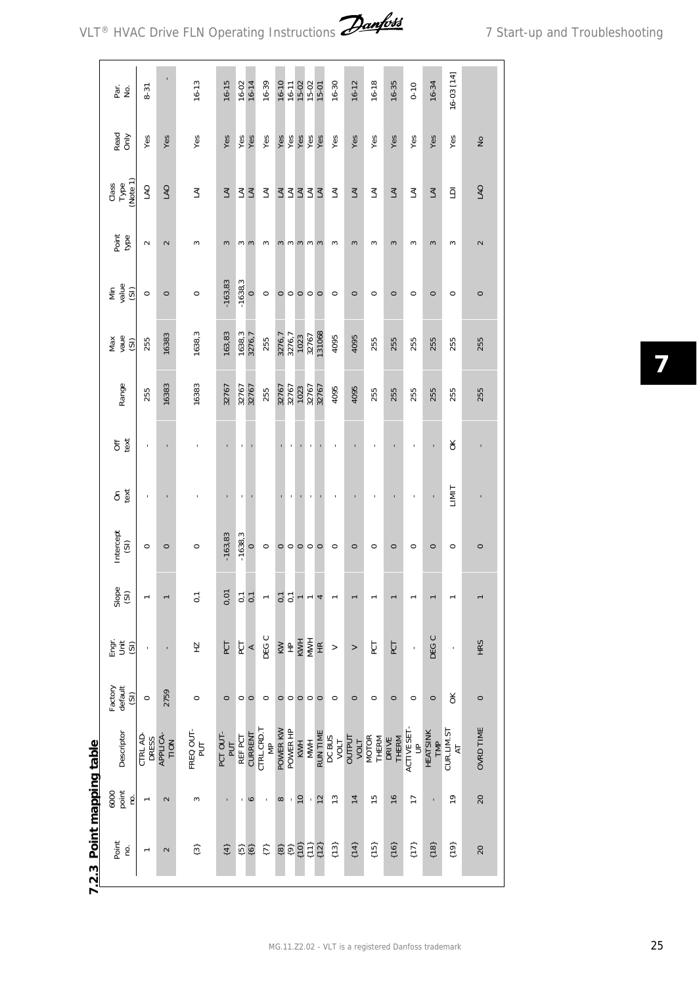|                           | ari<br>Ngj                 | $8-31$            |                  | $16 - 13$        | $16 - 15$              | $16 - 02$      | $16 - 14$      | 16-39                                       | $16 - 10$                       | $16 - 11$                       | $\frac{15-02}{15-01}$ |                     |                         | $16 - 30$      | $16 - 12$             | $16 - 18$             | $16 - 35$               | $0 - 10$                    | $16 - 34$               | 16-03 [14]                   |                  |
|---------------------------|----------------------------|-------------------|------------------|------------------|------------------------|----------------|----------------|---------------------------------------------|---------------------------------|---------------------------------|-----------------------|---------------------|-------------------------|----------------|-----------------------|-----------------------|-------------------------|-----------------------------|-------------------------|------------------------------|------------------|
|                           | Read<br>Only               | Yes               | Yes              | Yes              | Yes                    | Yes            | Yes            | Yes                                         | Yes                             | Yes                             | Yes<br>Yes            |                     | Yes                     | Yes            | Yes                   | Yes                   | Yes                     | Yes                         | Yes                     | Yes                          | $\overline{a}$   |
|                           | Class<br>Type<br>(Note 1)  | <b>LAO</b>        | LAO              | IAI              | $\overline{A}$         | $\overline{5}$ | $\overline{5}$ | $\overline{5}$                              |                                 |                                 | 3333                  |                     | $\overline{\mathsf{A}}$ | $\overline{5}$ | $\overline{A}$        | $\overline{5}$        | $\overline{\mathbf{z}}$ | $\overline{5}$              | $\overline{\mathbb{E}}$ | $\overline{a}$               | <b>LAO</b>       |
|                           | Point<br>type              | $\sim$            | $\sim$           | 3                | 3                      | က က            |                | 3                                           | 3                               | 3                               | $\frac{1}{2}$         |                     | $\sim$                  | 3              | 3                     | S                     | 3                       | 3                           | 3                       | 3                            | $\sim$           |
|                           | Min<br>value<br>(SI)       | $\circ$           | $\circ$          | $\circ$          | $-163,83$              | $-1638,3$      | $\circ$        | $\circ$                                     |                                 | $\circ$                         | $\circ$               |                     | $\circ$                 | $\circ$        | $\circ$               | $\circ$               | $\circ$                 | $\circ$                     | $\circ$                 | $\circ$                      | $\circ$          |
|                           | Max<br>vaue<br>(SI)        | 255               | 16383            | 1638,3           | 163,83                 | 1638,3         | 3276,7         | 255                                         | 3276,7                          | 3276,7                          | 1023<br>32767         |                     | 131068                  | 4095           | 4095                  | 255                   | 255                     | 255                         | 255                     | 255                          | 255              |
|                           | Range                      | 255               | 16383            | 16383            | 32767                  | 32767<br>32767 |                | 255                                         | 32767                           | 32767                           | 1023<br>32767         |                     | 32767                   | 4095           | 4095                  | 255                   | 255                     | 255                         | 255                     | 255                          | 255              |
|                           | Off<br>text                | $\mathbf{r}$      | r.               |                  | $\mathbf{r}$           | $\mathbf{I}$   |                |                                             |                                 | $\mathbf{I}$                    |                       | $\blacksquare$      | $\blacksquare$          | ×,             | J.                    | ٠                     | ĭ.                      | $\mathbf{I}$                | ¥,                      | $\breve{\phantom{a}}$        |                  |
|                           | $5\frac{3}{2}$             | f,                |                  |                  | $\blacksquare$         | $\blacksquare$ |                |                                             |                                 |                                 |                       |                     |                         |                |                       | ٠                     |                         | $\mathbf{I}$                | $\mathbf{r}$            | LIMIT                        |                  |
|                           | Intercept<br>(SI)          | $\circ$           | $\circ$          | $\circ$          | $-163,83$              | $-1638,3$      | $\circ$        | $\circ$                                     |                                 | $\circ$                         | $\circ$               |                     | $\circ$                 | $\circ$        | $\circ$               | $\circ$               | $\circ$                 | $\circ$                     | $\circ$                 | $\circ$                      | $\circ$          |
|                           | $Slope$<br>$(S1)$          |                   |                  | 0,1              | 0,01                   | 0,1            | $\overline{0}$ |                                             | $\overline{0}$ , $\overline{0}$ | $\overline{0}$ , $\overline{1}$ |                       |                     | 4                       |                |                       |                       |                         |                             |                         |                              |                  |
|                           | Engr.<br>Unit<br>(5)       |                   |                  | $\overline{z}$   | PCT                    | FCT            | $\prec$        | DEG <sub>C</sub>                            | KW                              | $\hat{\mathbf{r}}$              | KWH<br>MWH            |                     | $\widetilde{\pm}$       | $\geq$         | $\geq$                | FCT                   | PCT                     | ï                           | DEG C                   |                              | HRS              |
|                           | Factory<br>default<br>(SI) | $\circ$           | 2759             | $\circ$          | $\circ$                | $\circ$        | $\circ$        | $\circ$                                     | $\circ$                         | $\circ$                         | $\circ$               |                     | $\circ$                 | $\circ$        | $\circ$               | $\circ$               | $\circ$                 | $\circ$                     | $\circ$                 | ă                            | $\circ$          |
|                           | Descriptor                 | CTRL AD-<br>DRESS | APPLICA-<br>TION | FREQ OUT-<br>FUT | PCT OUT-<br><b>PUT</b> | REF PCT        | CURRENT        | CTRL.CRD.T<br>$\stackrel{\text{p}}{\equiv}$ | POWER KW                        | POWER HP                        | KWH                   | MWH                 | RUN TIME<br>DC BUS      | VOLT           | <b>OUTPUT</b><br>VOLT | <b>MOTOR</b><br>THERM | THERM<br>DRIVE          | ACTIVE SET-<br>$\triangleq$ | <b>HEATSINK</b><br>TMP  | CUR.LIM.ST<br>$\overline{A}$ | <b>OVRD TIME</b> |
|                           | 6000<br>point<br>S.        |                   | $\sim$           | 3                |                        | r.             | P              |                                             | ${}^{\circ}$                    | $\mathbf{r}$                    | $\overline{C}$        | $\bar{\phantom{a}}$ | $\overline{12}$         | $\frac{3}{2}$  | $\overline{1}$        | $\frac{15}{2}$        | $\frac{6}{2}$           | $\overline{1}$              |                         | $\frac{6}{1}$                | 20               |
| 7.2.3 Point mapping table | Point<br>no.               |                   | $\sim$           | $\widehat{c}$    | (4)                    | (5)            |                | $\overline{C}$                              | $\widehat{a}$                   |                                 | EDE                   |                     |                         | (13)           | (14)                  | (15)                  | (16)                    | (17)                        | (18)                    | (19)                         | 20               |
|                           |                            |                   |                  |                  |                        |                |                |                                             |                                 |                                 |                       |                     |                         |                |                       |                       |                         |                             |                         |                              |                  |

 $\overline{\phantom{a}}$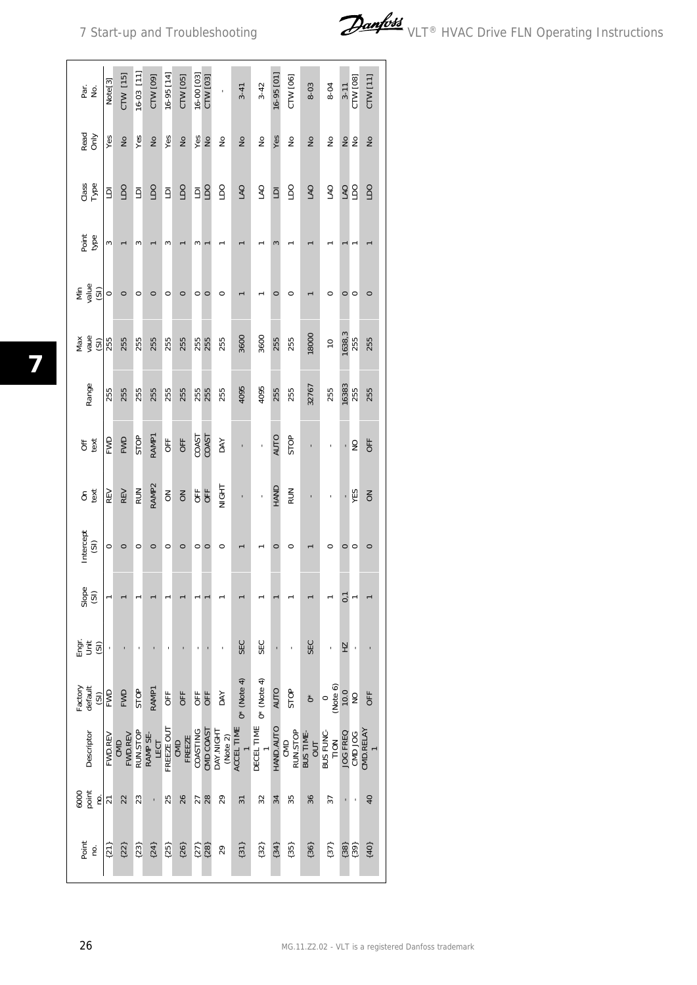|                                | Danford VLT® HVAC Drive FLN Operating Instructions |
|--------------------------------|----------------------------------------------------|
| 7 Start-up and Troubleshooting |                                                    |

| ari<br>Ng                  | Note[3]        | CTW [15]       | $16-03$ [11]   | <b>CTW</b> [09]   | $16 - 95$ [14] | CTW [05]             |          | 16-00 [03]<br>CTW [03] | $\hat{\boldsymbol{\beta}}$ | $3 - 41$        | $3-42$        | 16-95 [01]              | CTW [06]        | 8-03                   | 8-04             | $\frac{3-11}{\text{CTW} [08]}$ |                    | CTW [11]       |
|----------------------------|----------------|----------------|----------------|-------------------|----------------|----------------------|----------|------------------------|----------------------------|-----------------|---------------|-------------------------|-----------------|------------------------|------------------|--------------------------------|--------------------|----------------|
| Read<br>Only               | Yes            | $\frac{1}{2}$  | Yes            | $\frac{1}{2}$     | Yes            | $\frac{1}{2}$        |          | No<br>No               | $\frac{1}{2}$              | $\frac{1}{2}$   | $\frac{1}{2}$ | Yes                     | $\frac{1}{2}$   | $\frac{1}{2}$          | $\frac{1}{2}$    |                                | 22                 | <b>D</b>       |
| Class<br>Type              | $\overline{a}$ | DO             | $\overline{a}$ | DO                | $\bar{\Xi}$    | DO                   |          | 음                      | Oqi                        | <b>LAO</b>      | <b>LAO</b>    | $\overline{\mathbf{C}}$ | Oq              | <b>LAO</b>             | <b>CV</b>        |                                | <b>OST</b>         | DO             |
| Point<br>type              | S              |                | $\infty$       |                   |                |                      |          |                        |                            |                 |               |                         |                 |                        |                  |                                |                    |                |
| Min<br>gale<br>(SI)        | $\circ$        | $\circ$        | $\circ$        | 0                 | $\circ$        | $\circ$              | $\circ$  | $\circ$                | 0                          |                 |               | $\circ$                 | 0               |                        | 0                | $\circ$                        | $\circ$            | $\circ$        |
| Max<br>vaue<br>(SI)        | 255            | 255            | 255            | 255               | 255            | 255                  |          | 255                    | 255                        | 3600            | 3600          | 255                     | 255             | 18000                  | $\overline{C}$   | 1638,3                         |                    | 255            |
| Range                      | 255            | 255            | 255            | 255               | 255            | 255                  |          | 255                    | 255                        | 4095            | 4095          | 255                     | 255             | 32767                  | 255              | 16383                          |                    | 255            |
| text<br>Öff                | FWD            | <b>FWD</b>     | STOP           | RAMP <sub>1</sub> | <b>OFF</b>     | OFF                  |          | COAST                  | DAY                        | ï               | ł,            | <b>AUTO</b>             | STOP            |                        |                  |                                | $\overline{a}$     | OFF            |
| $5 \times 10$              | REV            | REV            | RUN            | RAMP <sub>2</sub> | $\overline{5}$ | $\overline{6}$       |          | <b>UFF</b>             | <b>NIGHT</b>               |                 | ï             | HAND                    | <b>RUN</b>      |                        |                  |                                | YES                | $\overline{5}$ |
| Intercept<br>$\widehat{5}$ | $\circ$        | $\circ$        | $\circ$        | $\circ$           | $\circ$        | $\circ$              | $\circ$  | $\circ$                | 0                          |                 |               | c                       |                 |                        | 0                | 0                              | $\circ$            | 0              |
| Slope<br>$\widetilde{S}$   |                |                |                |                   |                |                      |          |                        |                            |                 |               |                         |                 |                        |                  | $\overline{0}$                 |                    |                |
| Engi<br>Unit<br>(SI)       |                |                |                |                   |                |                      |          |                        |                            | <b>SEC</b>      | <b>SEC</b>    |                         |                 | <b>SEC</b>             |                  | E                              |                    |                |
| Factory<br>default<br>(5)  | <b>FWD</b>     | <b>FWD</b>     | STOP           | RAMP <sub>1</sub> | OFF            | OFF                  |          | 동<br>0FF               | DAY                        | $0^*$ (Note 4)  | $0*$ (Note 4) | <b>AUTO</b>             | STOP            | $\circ$                | $\circ$          | $(Mote 6)$<br>$10.0$           | $\trianglerighteq$ | <b>UFF</b>     |
| Descriptor                 | FWD.REV        | FWD.REV<br>CMD | RUN.STOP       | RAMP SE-<br>LECT  | FREEZE OUT     | <b>FREEZE</b><br>CMD | COASTING | CMD COAST<br>DAY.NIGHT | (Note 2)<br>ACCEL TIME     |                 | DECEL TIME    | HAND.AUTO               | RUN.STOP<br>CMD | BUS TIME<br><b>TNO</b> | BUS FUNC<br>TION | JOG FRED<br>CMD JOG            |                    | CMD.RELAY      |
| 6000<br>point<br>ρġ.       | $\overline{2}$ | 22             | 23             |                   | 25             | 26                   | 27       | 28                     | 29                         | $\overline{31}$ | 32            | 34                      | 35              | 36                     | 57               |                                |                    | $\overline{a}$ |
| Point<br>ρ.                | 12<br>1        | (22)           | (23)           | (24)              | (25)           | (26)                 |          | (27)                   | 29                         | (31)            | (32)          | (34)                    | (35)            | (36)                   | (37)             | (38)                           | (39)               | (40)           |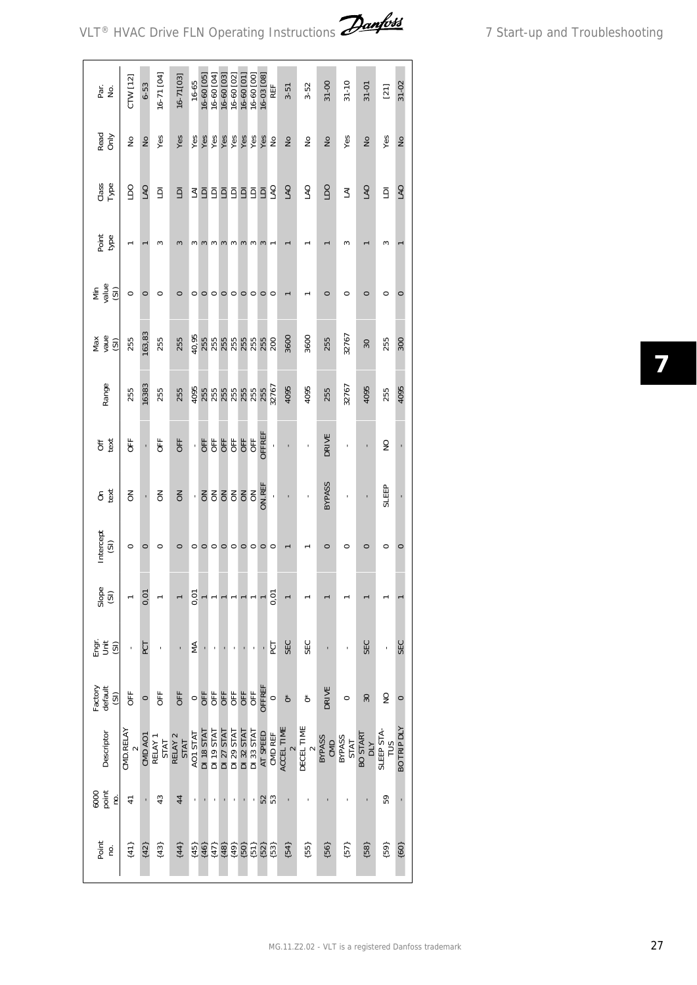| ari<br>No.                   | $TW$ [12]      | 6-53          | 16-71 [04]      | 16-71[03]              |          |          | $\begin{array}{c} \text{16-65} \\ \text{16-60} \text{ [05]} \\ \text{16-60} \text{ [04]} \\ \text{16-60} \text{ [03]} \\ \text{16-60} \text{ [03]} \\ \text{16-60} \text{ [01]} \\ \text{16-60} \text{ [00]} \\ \text{16-60} \text{ [00]} \\ \text{16-60} \text{ [00]} \\ \text{16-03} \text{ [08]} \end{array}$ |                     |         |               |         | $3 - 51$                                                                                                                                                                                                                                                                                                    | $3 - 52$        | 31-00                           | $31 - 10$ | $31 - 01$       | $[21]$           | $31 - 02$  |
|------------------------------|----------------|---------------|-----------------|------------------------|----------|----------|------------------------------------------------------------------------------------------------------------------------------------------------------------------------------------------------------------------------------------------------------------------------------------------------------------------|---------------------|---------|---------------|---------|-------------------------------------------------------------------------------------------------------------------------------------------------------------------------------------------------------------------------------------------------------------------------------------------------------------|-----------------|---------------------------------|-----------|-----------------|------------------|------------|
| Read<br>Only                 | $\frac{1}{2}$  | $\frac{1}{2}$ | Yes             | Yes                    |          |          | <b>ASS SES 2010</b>                                                                                                                                                                                                                                                                                              |                     |         |               |         | $\frac{1}{2}$                                                                                                                                                                                                                                                                                               | $\frac{1}{2}$   | $\frac{1}{2}$                   | Yes       | $\frac{1}{2}$   | Yes              | $\geq$     |
| Class<br>Type                | DO             | <b>DVT</b>    | $\overline{a}$  | $\overline{a}$         |          |          | 38888888                                                                                                                                                                                                                                                                                                         |                     |         |               |         | LAO                                                                                                                                                                                                                                                                                                         | <b>DAJ</b>      | DO                              | ξ         | <b>LAO</b>      | $\overline{a}$   | <b>DAJ</b> |
| Point<br>type                |                |               |                 |                        | S        | $\infty$ |                                                                                                                                                                                                                                                                                                                  | $\sim$              |         |               |         |                                                                                                                                                                                                                                                                                                             |                 |                                 |           |                 | $\sim$           |            |
| Min<br>value<br>(SI)         | $\circ$        | $\circ$       |                 |                        | $\circ$  | $\circ$  |                                                                                                                                                                                                                                                                                                                  | $\circ \circ \circ$ | $\circ$ |               | 0       |                                                                                                                                                                                                                                                                                                             |                 |                                 |           |                 |                  |            |
| Max<br>yaue<br>(SI)          | 255            | 163,83        | 255             | 255                    |          |          | ទុន<br>ទុន និង និង និង និង និ                                                                                                                                                                                                                                                                                    |                     |         |               |         | 3600                                                                                                                                                                                                                                                                                                        | 3600            | 255                             | 32767     | 30              | 255              | 300        |
| Range                        | 255            | 16383         | 255             | 255                    |          |          | 495<br>485 565 565 565 567<br>485 565 567 5767                                                                                                                                                                                                                                                                   |                     |         |               |         | 4095                                                                                                                                                                                                                                                                                                        | 4095            | 255                             | 32767     | 4095            | 255              | 4095       |
| off<br>text                  | <b>UFF</b>     |               | OFF             | OFF                    |          |          |                                                                                                                                                                                                                                                                                                                  |                     |         |               |         |                                                                                                                                                                                                                                                                                                             |                 | <b>DRIVE</b>                    |           |                 | $\mathsf{S}$     |            |
| $5 \times$                   | $\overline{6}$ |               | š               | $\leq$                 |          |          |                                                                                                                                                                                                                                                                                                                  |                     |         |               |         |                                                                                                                                                                                                                                                                                                             |                 | BYPASS                          |           |                 | SLEEP            |            |
| Intercept<br>(SI)            | $\circ$        |               |                 |                        | ○        | $\circ$  |                                                                                                                                                                                                                                                                                                                  | 0000                |         |               | 0       |                                                                                                                                                                                                                                                                                                             |                 |                                 |           |                 |                  |            |
| $rac{\text{Spec}}{\text{S}}$ |                | 0,01          |                 |                        | 0,01     |          |                                                                                                                                                                                                                                                                                                                  |                     |         |               | 0,01    |                                                                                                                                                                                                                                                                                                             |                 |                                 |           |                 |                  |            |
| 宫言<br>(51)                   |                | PCT           |                 |                        | MA       |          |                                                                                                                                                                                                                                                                                                                  |                     |         |               | PCT     | <b>SEC</b>                                                                                                                                                                                                                                                                                                  | SEC             |                                 |           | <b>SEC</b>      |                  | <b>SEC</b> |
| Factory<br>default<br>(5)    | UFF            | $\circ$       | <b>UFF</b>      | OFF                    |          |          | $-555555$                                                                                                                                                                                                                                                                                                        |                     |         | <b>OFFREF</b> | $\circ$ | $\circ$                                                                                                                                                                                                                                                                                                     | $\circ$         | DRIVE                           | 0         | 30              | $\overline{2}$   | $\circ$    |
| Descriptor                   | CMD.RELAY      | CMD AO1       | RELAY 1<br>STAT | RELAY 2<br><b>STAT</b> | AO1 STAT |          |                                                                                                                                                                                                                                                                                                                  |                     |         |               |         | $\begin{array}{l} 0 1 1 8 5 TAT \\ 0 1 9 5 TAT \\ 0 1 27 5 TAT \\ 0 1 29 5 TAT \\ 0 1 32 5 TAT \\ 0 1 33 5 TAT \\ 0 1 33 5 TAT \\ 0 1 33 5 TAT \\ 0 1 33 5 TAT \\ 0 1 33 5 TAT \\ 0 1 33 5 TAT \\ 0 1 33 5 TAT \\ 0 1 33 5 TAT \\ 0 1 33 5 TAT \\ 0 1 33 5 TAT \\ 0 1 33 5 TAT \\ 0 1 33 5 TAT \\ 0 1 33 5$ | DECEL TIME<br>2 | BYPASS<br>CMD<br>BYPASS<br>STAT |           | BO START<br>DLY | SLEEP STA<br>TUS | BOTRIP DLY |
| 6000<br>point<br>ρġ.         | $\frac{4}{1}$  |               | 43              | 44                     |          |          |                                                                                                                                                                                                                                                                                                                  |                     |         |               | 52      |                                                                                                                                                                                                                                                                                                             |                 |                                 |           |                 | 59               |            |
| Point<br>ρ.                  | (11)           | (42)          | (43)            | (44)                   |          |          |                                                                                                                                                                                                                                                                                                                  |                     |         |               |         | (54)                                                                                                                                                                                                                                                                                                        | (55)            | (56)                            | {57}      | (58)            | (59)             | (60)       |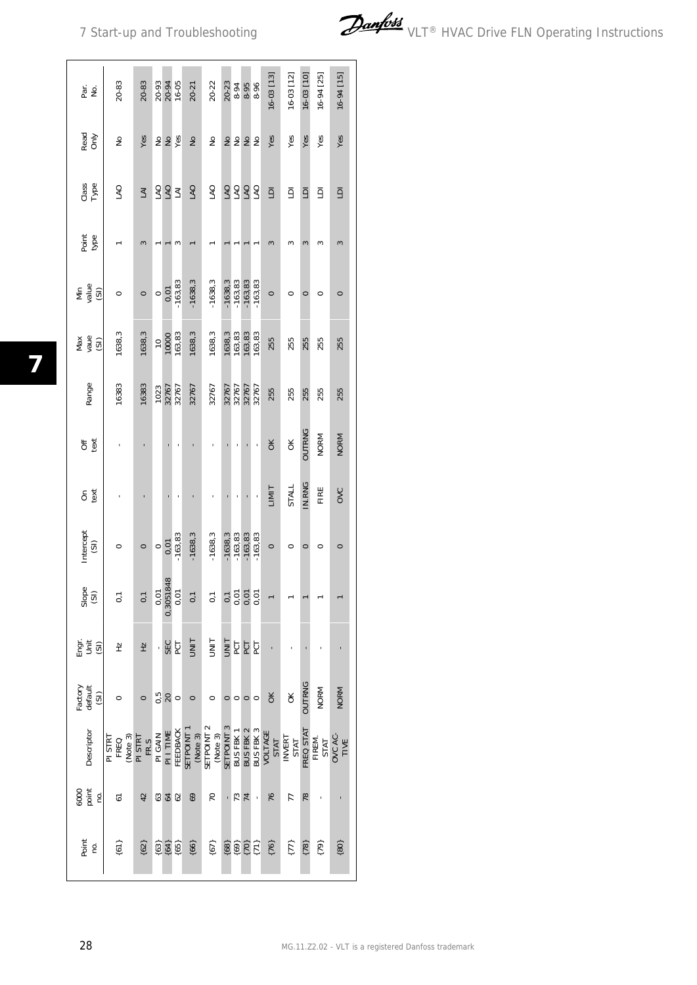$\sim$ 

7 Start-up and Troubleshooting **Danfold** VLT® HVAC Drive FLN Operating Instructions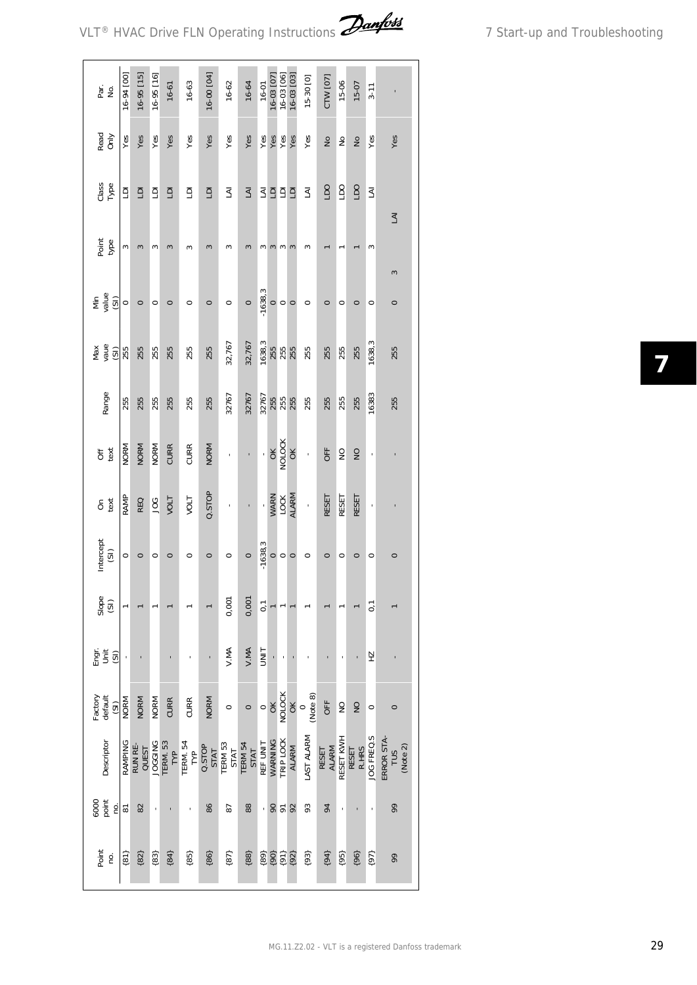| ari<br>Ngj                        | 16-94 [00]         | $16-95$ [15]     | 16-95 [16]  | $16 - 61$       | $16 - 63$       | 16-00 [04]                | $16 - 62$ | $16 - 64$       | $16 - 01$               | 16-03 [07]<br>16-03 [06]<br>16-03 [03] |                     |                       | 15-30 [0]      | <b>CTW</b> [07]             | 15-06          | 15-07          | $3 - 11$       |                               |
|-----------------------------------|--------------------|------------------|-------------|-----------------|-----------------|---------------------------|-----------|-----------------|-------------------------|----------------------------------------|---------------------|-----------------------|----------------|-----------------------------|----------------|----------------|----------------|-------------------------------|
| Read<br>Only                      | Yes                | Yes              | Yes         | Yes             | Yes             | Yes                       | Yes       | Yes             |                         | yes<br>Yes<br>Yes                      |                     |                       | Yes            | $\frac{1}{2}$               | å              | <b>S</b>       | Yes            | Yes                           |
| Class<br>Type                     | $\overline{a}$     | $\overline{a}$   | $\bar{\Xi}$ | $\overline{a}$  | $\overline{a}$  | $\overline{a}$            | E<br>S    | $\overline{5}$  | $\overline{5}$          | <u>a a a</u>                           |                     |                       | $\overline{5}$ | DO                          | DO             | Oqi            | $\overline{5}$ | <b>IAI</b>                    |
| Point<br>type                     | 3                  | 3                | 3           |                 | ო               | 3                         | ო         | $\infty$        | 2                       | 3                                      | S                   | 3                     | $\infty$       |                             |                |                | 3              | 3                             |
| Min<br>value<br>(SI)              | $\circ$            | $\circ$          | $\circ$     |                 | o               | $\circ$                   | 0         | $\circ$         | $-1638,3$               | $\circ$                                |                     | $\circ$               | 0              | $\circ$                     | 0              | O              | $\circ$        | $\circ$                       |
| $\frac{32}{3}$<br>$\frac{10}{25}$ |                    | 255              | 255         | 255             | 255             | 255                       | 32,767    | 32,767          |                         | 1638,3<br>255<br>255<br>255            |                     |                       | 255            | 255                         | 255            | 255            | 1638,3         | 255                           |
| Range                             | 255                | 255              | 255         | 255             | 255             | 255                       | 32767     | 32767           |                         | 32767<br>255<br>255<br>255             |                     |                       | 255            | 255                         | 255            | 255            | 16383          | 255                           |
| Off<br>text                       | <b>NORM</b>        | <b>NORM</b>      | <b>NORM</b> | CURR            | CURR            | <b>NORM</b>               | ï         |                 |                         |                                        |                     | OK<br>NOLOCK<br>OK    | $\bar{1}$      | OFF                         | $\overline{2}$ | $\overline{2}$ | $\mathbf{r}$   |                               |
| S &                               | RAMP               | REQ              | 500         | VOLT            | TTON            | Q.STOP                    |           |                 |                         |                                        |                     | WARN<br>LOCK<br>ALARM | $\frac{1}{2}$  | RESET                       | RESET          | RESET          | f,             |                               |
| Intercept<br>(SI)                 | $\circ$            | $\circ$          | $\circ$     | $\circ$         | $\circ$         | $\circ$                   | $\circ$   | $\circ$         | $-1638,3$               |                                        | $\circ \circ \circ$ |                       | $\circ$        | $\circ$                     | $\circ$        | $\circ$        | $\circ$        | 0                             |
| $Slope$<br>$(S1)$                 |                    |                  |             |                 |                 |                           | 0,001     | 0,001           | 0,1                     |                                        |                     |                       |                |                             |                |                | $\overline{0}$ |                               |
| ទ្ធិ<br>ទី<br>(5)                 |                    |                  |             |                 |                 |                           | V.MA      | V.MA            | İMİ                     |                                        |                     |                       |                |                             |                |                | £              |                               |
| Factory<br>default<br>(SI)        | <b>NORM</b>        | <b>NORM</b>      | <b>NORM</b> | <b>CURR</b>     | <b>CURR</b>     | <b>NORM</b>               | $\circ$   | $\circ$         | $\circ$ $\breve{\circ}$ |                                        |                     | NOLOCK<br>OK<br>0     | (Note 8)       | <b>UFF</b>                  | $\overline{Q}$ | $\overline{2}$ | $\circ$        | c                             |
| Descriptor                        | RAMPING            | RUN RE-<br>QUEST | JOGGING     | TERM. 53<br>TYP | TERM. 54<br>FYP | O.STOP<br>STAT<br>TERM 53 | STAT      | TERM 54<br>STAT | REF UNIT                | <b>WARNING</b><br>TRIP LOCK            |                     | <b>ALARM</b>          | LAST ALARM     | RESET<br>ALARM<br>RESET KWH |                | RESET<br>R.HRS | JOG FREQ.S     | ERROR STA-<br>(Note 2)<br>TUS |
| 6000<br>point<br>ρ.               | 5                  | 82               |             |                 |                 | 86                        | 87        | 88              | í.                      | $\frac{6}{9}$                          |                     | 92                    | 93             | 94                          |                |                |                | 99                            |
| Point<br>ρ.                       | $\left( 81\right)$ | (82)             | (83)        | (84)            | (85)            | (86)                      | (87)      | (88)            | (89)                    | $(90)$<br>$(92)$                       |                     |                       | (93)           | (94)                        | (95)           | (96)           | (97)           | 99                            |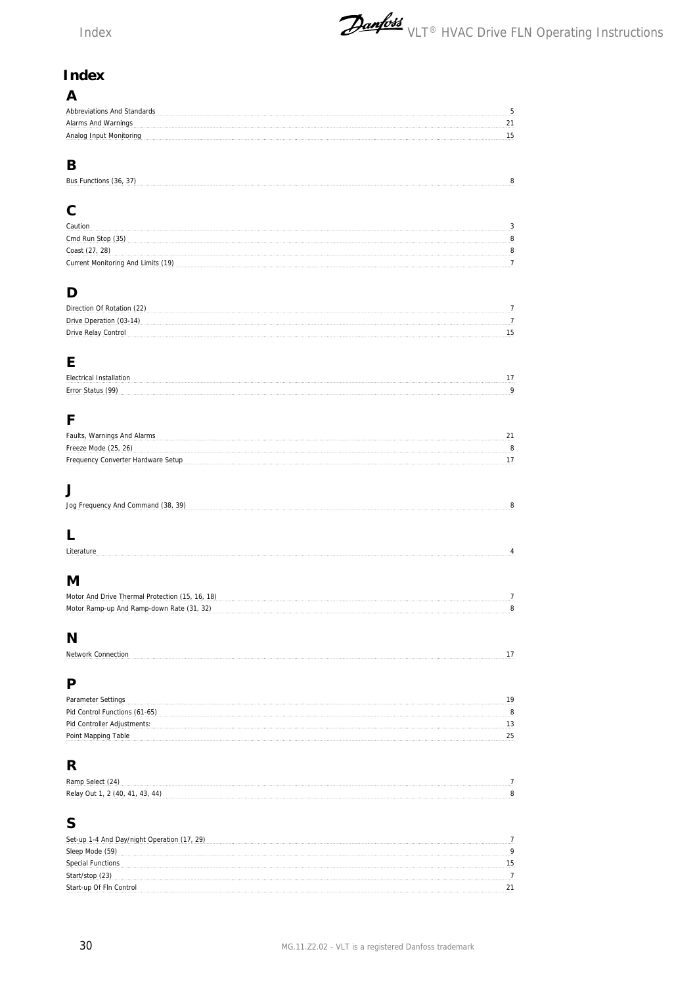### **Index**

### **A**

| Abbreviations And Standards |  |
|-----------------------------|--|
| <b>Alarms And Warnings</b>  |  |
| Analog Input Monitoring     |  |
|                             |  |

### **B**

| <b>Bus F</b> |  |
|--------------|--|
|              |  |

### **C**

|                                    | ******* |
|------------------------------------|---------|
| Cmd Run Stop (35)                  |         |
| Coast (27, 28)                     | .       |
| Current Monitoring And Limits (19) |         |

### **D**

| Direction Of Rotation (22) |  |
|----------------------------|--|
| Drive Operation (03-14)    |  |
| Drive Relay Control        |  |

### **E**

| <b>Electrical Installatio</b> |
|-------------------------------|
| <b>Error Status</b>           |

### **F**

| Faults, Warnings And Alarms        |  |
|------------------------------------|--|
| Freeze Mode (25, 26)               |  |
| Frequency Converter Hardware Setup |  |

## **J**

| Jog Frequency And Command (38, 39) |  |
|------------------------------------|--|
|                                    |  |

Literature 4

### **M**

| Motor And Drive Thermal Protection (15, 16, 18)<br><b></b> |  |
|------------------------------------------------------------|--|
| Motor Ramp-up And Ramp-down Rate (31, 32)                  |  |

### **N**

| Network |  |
|---------|--|
|         |  |
|         |  |

### **P**

| Parameter Settings            |   |
|-------------------------------|---|
| Pid Control Functions (61-65) |   |
| Pid Controller Adiustments:   |   |
| Point Mapping Table           | . |

## **R**

| Ramp<br><b><i>A R R R R R R R</i></b>           |  |
|-------------------------------------------------|--|
| Relay Out 1<br>(40<br>-44<br>- 71 -<br><u>.</u> |  |

### **S**

| Set-up 1-4 And Day/night Operation (17, 29) |  |
|---------------------------------------------|--|
| Sleep Mode (59)                             |  |
| <b>Special Functions</b>                    |  |
| Start/stop                                  |  |
| Start-up Of Fln Control                     |  |